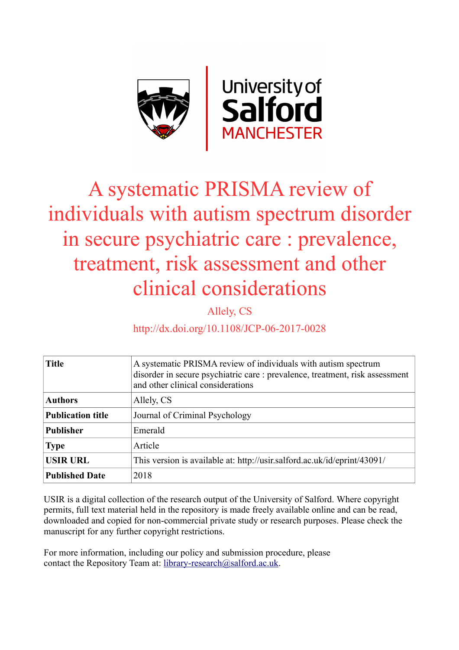

## A systematic PRISMA review of individuals with autism spectrum disorder in secure psychiatric care : prevalence, treatment, risk assessment and other clinical considerations

Allely, CS

http://dx.doi.org/10.1108/JCP-06-2017-0028

| <b>Title</b>             | A systematic PRISMA review of individuals with autism spectrum<br>disorder in secure psychiatric care : prevalence, treatment, risk assessment<br>and other clinical considerations |
|--------------------------|-------------------------------------------------------------------------------------------------------------------------------------------------------------------------------------|
| <b>Authors</b>           | Allely, CS                                                                                                                                                                          |
| <b>Publication title</b> | Journal of Criminal Psychology                                                                                                                                                      |
| <b>Publisher</b>         | Emerald                                                                                                                                                                             |
| <b>Type</b>              | Article                                                                                                                                                                             |
| <b>USIR URL</b>          | This version is available at: http://usir.salford.ac.uk/id/eprint/43091/                                                                                                            |
| <b>Published Date</b>    | 2018                                                                                                                                                                                |

USIR is a digital collection of the research output of the University of Salford. Where copyright permits, full text material held in the repository is made freely available online and can be read, downloaded and copied for non-commercial private study or research purposes. Please check the manuscript for any further copyright restrictions.

For more information, including our policy and submission procedure, please contact the Repository Team at: [library-research@salford.ac.uk.](mailto:library-research@salford.ac.uk)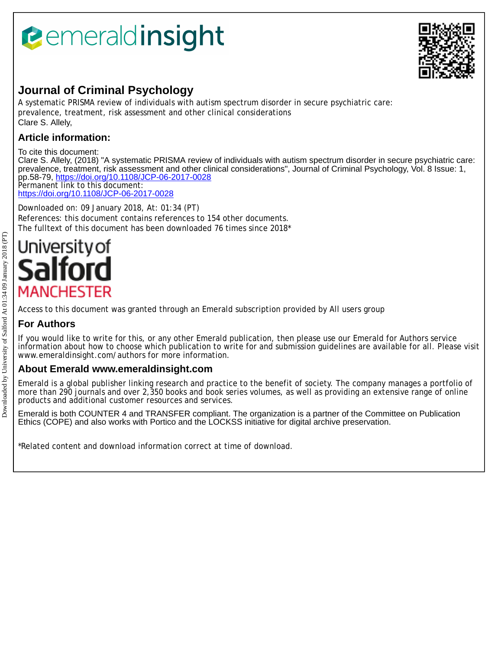# *<u><b>Pemeraldinsight</u>*



## **Journal of Criminal Psychology**

A systematic PRISMA review of individuals with autism spectrum disorder in secure psychiatric care: prevalence, treatment, risk assessment and other clinical considerations Clare S. Allely,

### **Article information:**

To cite this document: Clare S. Allely, (2018) "A systematic PRISMA review of individuals with autism spectrum disorder in secure psychiatric care: prevalence, treatment, risk assessment and other clinical considerations", Journal of Criminal Psychology, Vol. 8 Issue: 1, pp.58-79, <https://doi.org/10.1108/JCP-06-2017-0028> Permanent link to this document:

<https://doi.org/10.1108/JCP-06-2017-0028>

Downloaded on: 09 January 2018, At: 01:34 (PT) References: this document contains references to 154 other documents. The fulltext of this document has been downloaded 76 times since 2018\*

# University of **MANCHESTER**

Access to this document was granted through an Emerald subscription provided by All users group

## **For Authors**

If you would like to write for this, or any other Emerald publication, then please use our Emerald for Authors service information about how to choose which publication to write for and submission guidelines are available for all. Please visit www.emeraldinsight.com/authors for more information.

### **About Emerald www.emeraldinsight.com**

Emerald is a global publisher linking research and practice to the benefit of society. The company manages a portfolio of more than 290 journals and over 2,350 books and book series volumes, as well as providing an extensive range of online products and additional customer resources and services.

Emerald is both COUNTER 4 and TRANSFER compliant. The organization is a partner of the Committee on Publication Ethics (COPE) and also works with Portico and the LOCKSS initiative for digital archive preservation.

\*Related content and download information correct at time of download.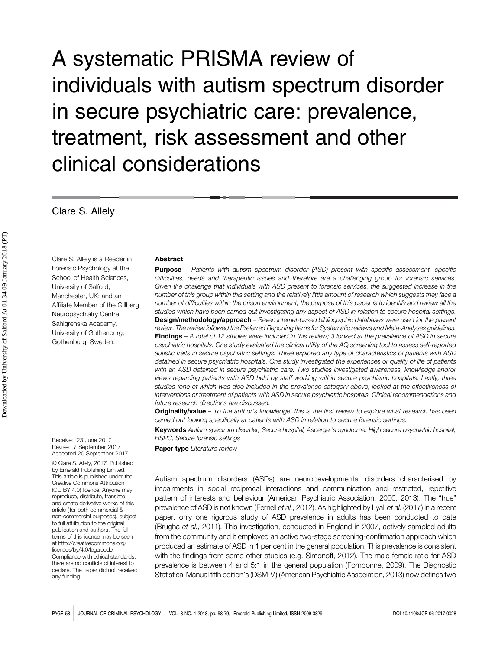## A systematic PRISMA review of individuals with autism spectrum disorder in secure psychiatric care: prevalence, treatment, risk assessment and other clinical considerations

Clare S. Allely

Clare S. Allely is a Reader in Forensic Psychology at the School of Health Sciences, University of Salford, Manchester, UK; and an Affiliate Member of the Gillberg Neuropsychiatry Centre, Sahlgrenska Academy, University of Gothenburg, Gothenburg, Sweden.

#### Abstract

**Purpose** – Patients with autism spectrum disorder (ASD) present with specific assessment, specific difficulties, needs and therapeutic issues and therefore are a challenging group for forensic services. Given the challenge that individuals with ASD present to forensic services, the suggested increase in the number of this group within this setting and the relatively little amount of research which suggests they face a number of difficulties within the prison environment, the purpose of this paper is to identify and review all the studies which have been carried out investigating any aspect of ASD in relation to secure hospital settings. Design/methodology/approach - Seven internet-based bibliographic databases were used for the present review. The review followed the Preferred Reporting Items for Systematic reviews and Meta-Analyses guidelines. Findings - A total of 12 studies were included in this review; 3 looked at the prevalence of ASD in secure psychiatric hospitals. One study evaluated the clinical utility of the AQ screening tool to assess self-reported autistic traits in secure psychiatric settings. Three explored any type of characteristics of patients with ASD detained in secure psychiatric hospitals. One study investigated the experiences or quality of life of patients with an ASD detained in secure psychiatric care. Two studies investigated awareness, knowledge and/or views regarding patients with ASD held by staff working within secure psychiatric hospitals. Lastly, three studies (one of which was also included in the prevalence category above) looked at the effectiveness of interventions or treatment of patients with ASD in secure psychiatric hospitals. Clinical recommendations and future research directions are discussed.

Originality/value - To the author's knowledge, this is the first review to explore what research has been carried out looking specifically at patients with ASD in relation to secure forensic settings.

Keywords Autism spectrum disorder, Secure hospital, Asperger's syndrome, High secure psychiatric hospital, HSPC, Secure forensic settings

Paper type Literature review

Autism spectrum disorders (ASDs) are neurodevelopmental disorders characterised by impairments in social reciprocal interactions and communication and restricted, repetitive pattern of interests and behaviour (American Psychiatric Association, 2000, 2013). The "true" prevalence of ASD is not known (Fernell et al., 2012). As highlighted by Lyall et al. (2017) in a recent paper, only one rigorous study of ASD prevalence in adults has been conducted to date (Brugha et al., 2011). This investigation, conducted in England in 2007, actively sampled adults from the community and it employed an active two-stage screening-confirmation approach which produced an estimate of ASD in 1 per cent in the general population. This prevalence is consistent with the findings from some other studies (e.g. Simonoff, 2012). The male-female ratio for ASD prevalence is between 4 and 5:1 in the general population (Fombonne, 2009). The Diagnostic Statistical Manual fifth edition's (DSM-V) (American Psychiatric Association, 2013) now defines two

Received 23 June 2017 Revised 7 September 2017 Accepted 20 September 2017

© Clare S. Allely, 2017. Published by Emerald Publishing Limited. This article is published under the Creative Commons Attribution (CC BY 4.0) licence. Anyone may reproduce, distribute, translate and create derivative works of this article ( for both commercial & non-commercial purposes), subject to full attribution to the original publication and authors. The full terms of this licence may be seen at http://creativecommons.org/ licences/bv/4.0/legalcode Compliance with ethical standards: there are no conflicts of interest to declare. The paper did not received any funding.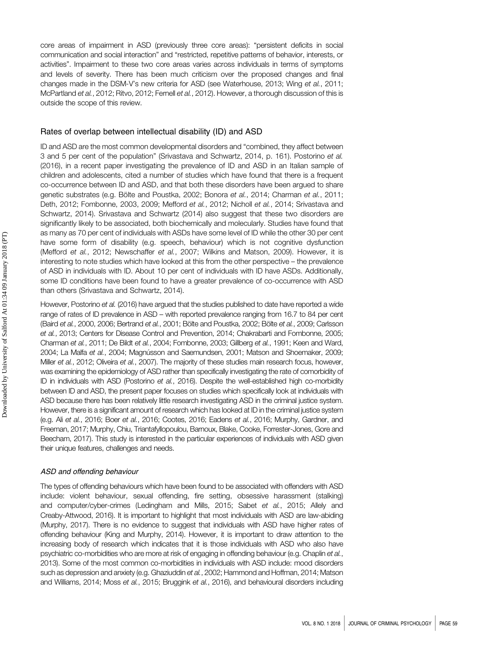core areas of impairment in ASD (previously three core areas): "persistent deficits in social communication and social interaction" and "restricted, repetitive patterns of behavior, interests, or activities". Impairment to these two core areas varies across individuals in terms of symptoms and levels of severity. There has been much criticism over the proposed changes and final changes made in the DSM-V's new criteria for ASD (see Waterhouse, 2013; Wing et al., 2011; McPartland et al., 2012; Ritvo, 2012; Fernell et al., 2012). However, a thorough discussion of this is outside the scope of this review.

#### Rates of overlap between intellectual disability (ID) and ASD

ID and ASD are the most common developmental disorders and "combined, they affect between 3 and 5 per cent of the population" (Srivastava and Schwartz, 2014, p. 161). Postorino et al. (2016), in a recent paper investigating the prevalence of ID and ASD in an Italian sample of children and adolescents, cited a number of studies which have found that there is a frequent co-occurrence between ID and ASD, and that both these disorders have been argued to share genetic substrates (e.g. Bölte and Poustka, 2002; Bonora et al., 2014; Charman et al., 2011; Deth, 2012; Fombonne, 2003, 2009; Mefford et al., 2012; Nicholl et al., 2014; Srivastava and Schwartz, 2014). Srivastava and Schwartz (2014) also suggest that these two disorders are significantly likely to be associated, both biochemically and molecularly. Studies have found that as many as 70 per cent of individuals with ASDs have some level of ID while the other 30 per cent have some form of disability (e.g. speech, behaviour) which is not cognitive dysfunction (Mefford et al., 2012; Newschaffer et al., 2007; Wilkins and Matson, 2009). However, it is interesting to note studies which have looked at this from the other perspective – the prevalence of ASD in individuals with ID. About 10 per cent of individuals with ID have ASDs. Additionally, some ID conditions have been found to have a greater prevalence of co-occurrence with ASD than others (Srivastava and Schwartz, 2014).

However, Postorino et al. (2016) have argued that the studies published to date have reported a wide range of rates of ID prevalence in ASD – with reported prevalence ranging from 16.7 to 84 per cent (Baird et al., 2000, 2006; Bertrand et al., 2001; Bölte and Poustka, 2002; Bölte et al., 2009; Carlsson et al., 2013; Centers for Disease Control and Prevention, 2014; Chakrabarti and Fombonne, 2005; Charman et al., 2011; De Bildt et al., 2004; Fombonne, 2003; Gillberg et al., 1991; Keen and Ward, 2004; La Malfa et al., 2004; Magnússon and Saemundsen, 2001; Matson and Shoemaker, 2009; Miller et al., 2012; Oliveira et al., 2007). The majority of these studies main research focus, however, was examining the epidemiology of ASD rather than specifically investigating the rate of comorbidity of ID in individuals with ASD (Postorino et al., 2016). Despite the well-established high co-morbidity between ID and ASD, the present paper focuses on studies which specifically look at individuals with ASD because there has been relatively little research investigating ASD in the criminal justice system. However, there is a significant amount of research which has looked at ID in the criminal justice system (e.g. Ali et al., 2016; Boer et al., 2016; Cootes, 2016; Eadens et al., 2016; Murphy, Gardner, and Freeman, 2017; Murphy, Chiu, Triantafyllopoulou, Barnoux, Blake, Cooke, Forrester-Jones, Gore and Beecham, 2017). This study is interested in the particular experiences of individuals with ASD given their unique features, challenges and needs.

#### ASD and offending behaviour

The types of offending behaviours which have been found to be associated with offenders with ASD include: violent behaviour, sexual offending, fire setting, obsessive harassment (stalking) and computer/cyber-crimes (Ledingham and Mills, 2015; Sabet et al., 2015; Allely and Creaby-Attwood, 2016). It is important to highlight that most individuals with ASD are law-abiding (Murphy, 2017). There is no evidence to suggest that individuals with ASD have higher rates of offending behaviour (King and Murphy, 2014). However, it is important to draw attention to the increasing body of research which indicates that it is those individuals with ASD who also have psychiatric co-morbidities who are more at risk of engaging in offending behaviour (e.g. Chaplin et al., 2013). Some of the most common co-morbidities in individuals with ASD include: mood disorders such as depression and anxiety (e.g. Ghaziuddin et al., 2002; Hammond and Hoffman, 2014; Matson and Williams, 2014; Moss et al., 2015; Bruggink et al., 2016), and behavioural disorders including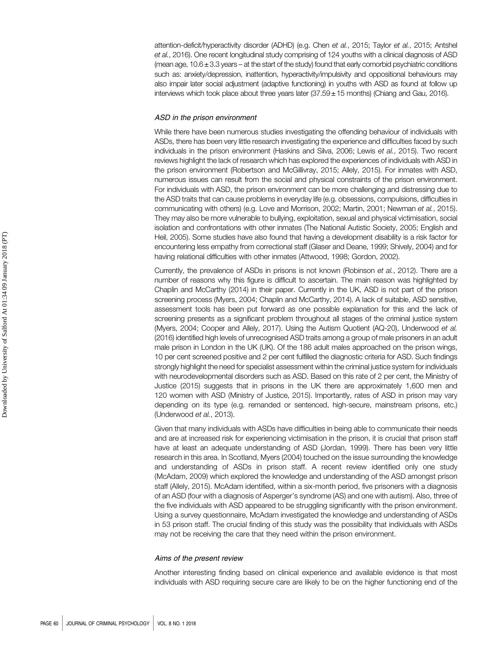attention-deficit/hyperactivity disorder (ADHD) (e.g. Chen et al., 2015; Taylor et al., 2015; Antshel et al., 2016). One recent longitudinal study comprising of 124 youths with a clinical diagnosis of ASD (mean age,  $10.6 \pm 3.3$  years – at the start of the study) found that early comorbid psychiatric conditions such as: anxiety/depression, inattention, hyperactivity/impulsivity and oppositional behaviours may also impair later social adjustment (adaptive functioning) in youths with ASD as found at follow up interviews which took place about three years later (37.59 ±15 months) (Chiang and Gau, 2016).

#### ASD in the prison environment

While there have been numerous studies investigating the offending behaviour of individuals with ASDs, there has been very little research investigating the experience and difficulties faced by such individuals in the prison environment (Haskins and Silva, 2006; Lewis et al., 2015). Two recent reviews highlight the lack of research which has explored the experiences of individuals with ASD in the prison environment (Robertson and McGillivray, 2015; Allely, 2015). For inmates with ASD, numerous issues can result from the social and physical constraints of the prison environment. For individuals with ASD, the prison environment can be more challenging and distressing due to the ASD traits that can cause problems in everyday life (e.g. obsessions, compulsions, difficulties in communicating with others) (e.g. Love and Morrison, 2002; Martin, 2001; Newman et al., 2015). They may also be more vulnerable to bullying, exploitation, sexual and physical victimisation, social isolation and confrontations with other inmates (The National Autistic Society, 2005; English and Heil, 2005). Some studies have also found that having a development disability is a risk factor for encountering less empathy from correctional staff (Glaser and Deane, 1999; Shively, 2004) and for having relational difficulties with other inmates (Attwood, 1998; Gordon, 2002).

Currently, the prevalence of ASDs in prisons is not known (Robinson et al., 2012). There are a number of reasons why this figure is difficult to ascertain. The main reason was highlighted by Chaplin and McCarthy (2014) in their paper. Currently in the UK, ASD is not part of the prison screening process (Myers, 2004; Chaplin and McCarthy, 2014). A lack of suitable, ASD sensitive, assessment tools has been put forward as one possible explanation for this and the lack of screening presents as a significant problem throughout all stages of the criminal justice system (Myers, 2004; Cooper and Allely, 2017). Using the Autism Quotient (AQ-20), Underwood et al. (2016) identified high levels of unrecognised ASD traits among a group of male prisoners in an adult male prison in London in the UK (UK). Of the 186 adult males approached on the prison wings, 10 per cent screened positive and 2 per cent fulfilled the diagnostic criteria for ASD. Such findings strongly highlight the need for specialist assessment within the criminal justice system for individuals with neurodevelopmental disorders such as ASD. Based on this rate of 2 per cent, the Ministry of Justice (2015) suggests that in prisons in the UK there are approximately 1,600 men and 120 women with ASD (Ministry of Justice, 2015). Importantly, rates of ASD in prison may vary depending on its type (e.g. remanded or sentenced, high-secure, mainstream prisons, etc.) (Underwood et al., 2013).

Given that many individuals with ASDs have difficulties in being able to communicate their needs and are at increased risk for experiencing victimisation in the prison, it is crucial that prison staff have at least an adequate understanding of ASD (Jordan, 1999). There has been very little research in this area. In Scotland, Myers (2004) touched on the issue surrounding the knowledge and understanding of ASDs in prison staff. A recent review identified only one study (McAdam, 2009) which explored the knowledge and understanding of the ASD amongst prison staff (Allely, 2015). McAdam identified, within a six-month period, five prisoners with a diagnosis of an ASD (four with a diagnosis of Asperger's syndrome (AS) and one with autism). Also, three of the five individuals with ASD appeared to be struggling significantly with the prison environment. Using a survey questionnaire, McAdam investigated the knowledge and understanding of ASDs in 53 prison staff. The crucial finding of this study was the possibility that individuals with ASDs may not be receiving the care that they need within the prison environment.

#### Aims of the present review

Another interesting finding based on clinical experience and available evidence is that most individuals with ASD requiring secure care are likely to be on the higher functioning end of the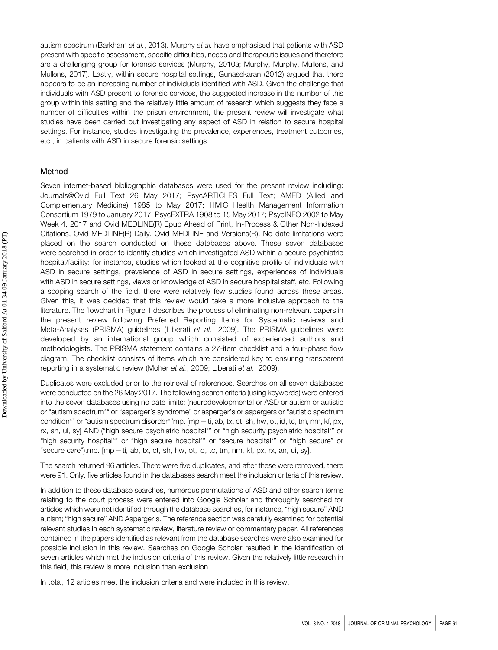autism spectrum (Barkham et al., 2013). Murphy et al. have emphasised that patients with ASD present with specific assessment, specific difficulties, needs and therapeutic issues and therefore are a challenging group for forensic services (Murphy, 2010a; Murphy, Murphy, Mullens, and Mullens, 2017). Lastly, within secure hospital settings, Gunasekaran (2012) argued that there appears to be an increasing number of individuals identified with ASD. Given the challenge that individuals with ASD present to forensic services, the suggested increase in the number of this group within this setting and the relatively little amount of research which suggests they face a number of difficulties within the prison environment, the present review will investigate what studies have been carried out investigating any aspect of ASD in relation to secure hospital settings. For instance, studies investigating the prevalence, experiences, treatment outcomes, etc., in patients with ASD in secure forensic settings.

#### Method

Seven internet-based bibliographic databases were used for the present review including: Journals@Ovid Full Text 26 May 2017; PsycARTICLES Full Text; AMED (Allied and Complementary Medicine) 1985 to May 2017; HMIC Health Management Information Consortium 1979 to January 2017; PsycEXTRA 1908 to 15 May 2017; PsycINFO 2002 to May Week 4, 2017 and Ovid MEDLINE(R) Epub Ahead of Print, In-Process & Other Non-Indexed Citations, Ovid MEDLINE(R) Daily, Ovid MEDLINE and Versions(R). No date limitations were placed on the search conducted on these databases above. These seven databases were searched in order to identify studies which investigated ASD within a secure psychiatric hospital/facility: for instance, studies which looked at the cognitive profile of individuals with ASD in secure settings, prevalence of ASD in secure settings, experiences of individuals with ASD in secure settings, views or knowledge of ASD in secure hospital staff, etc. Following a scoping search of the field, there were relatively few studies found across these areas. Given this, it was decided that this review would take a more inclusive approach to the literature. The flowchart in Figure 1 describes the process of eliminating non-relevant papers in the present review following Preferred Reporting Items for Systematic reviews and Meta-Analyses (PRISMA) guidelines (Liberati et al., 2009). The PRISMA guidelines were developed by an international group which consisted of experienced authors and methodologists. The PRISMA statement contains a 27-item checklist and a four-phase flow diagram. The checklist consists of items which are considered key to ensuring transparent reporting in a systematic review (Moher et al., 2009; Liberati et al., 2009).

Duplicates were excluded prior to the retrieval of references. Searches on all seven databases were conducted on the 26 May 2017. The following search criteria (using keywords) were entered into the seven databases using no date limits: (neurodevelopmental or ASD or autism or autistic or "autism spectrum\*" or "asperger's syndrome" or asperger's or aspergers or "autistic spectrum condition\*" or "autism spectrum disorder\*"mp.  $[mp = ti, ab, tx, ct, sh, hw, ot, id, tc, tm, nm, kf, px,$ rx, an, ui, sy] AND ("high secure psychiatric hospital\*" or "high security psychiatric hospital\*" or "high security hospital\*" or "high secure hospital\*" or "secure hospital\*" or "high secure" or "secure care").mp.  $[mp = ti, ab, tx, ct, sh, hw, ot, id, tc, tm, nm, kf, px, rx, an, ui, syl.$ 

The search returned 96 articles. There were five duplicates, and after these were removed, there were 91. Only, five articles found in the databases search meet the inclusion criteria of this review.

In addition to these database searches, numerous permutations of ASD and other search terms relating to the court process were entered into Google Scholar and thoroughly searched for articles which were not identified through the database searches, for instance, "high secure" AND autism; "high secure" AND Asperger's. The reference section was carefully examined for potential relevant studies in each systematic review, literature review or commentary paper. All references contained in the papers identified as relevant from the database searches were also examined for possible inclusion in this review. Searches on Google Scholar resulted in the identification of seven articles which met the inclusion criteria of this review. Given the relatively little research in this field, this review is more inclusion than exclusion.

In total, 12 articles meet the inclusion criteria and were included in this review.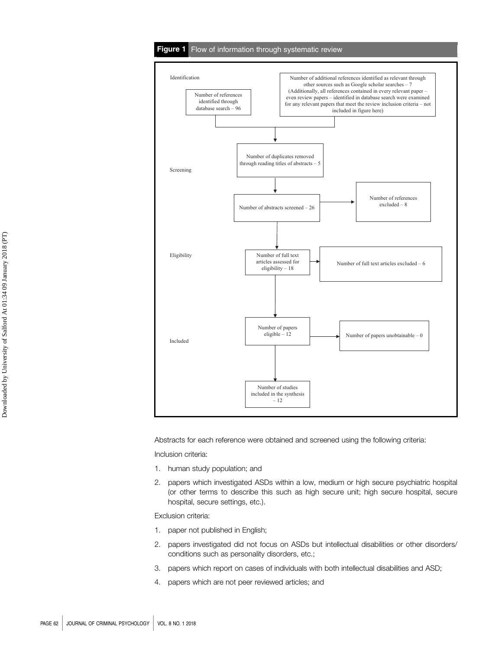#### Figure 1 Flow of information through systematic review



Abstracts for each reference were obtained and screened using the following criteria:

Inclusion criteria:

- 1. human study population; and
- 2. papers which investigated ASDs within a low, medium or high secure psychiatric hospital (or other terms to describe this such as high secure unit; high secure hospital, secure hospital, secure settings, etc.).

Exclusion criteria:

- 1. paper not published in English;
- 2. papers investigated did not focus on ASDs but intellectual disabilities or other disorders/ conditions such as personality disorders, etc.;
- 3. papers which report on cases of individuals with both intellectual disabilities and ASD;
- 4. papers which are not peer reviewed articles; and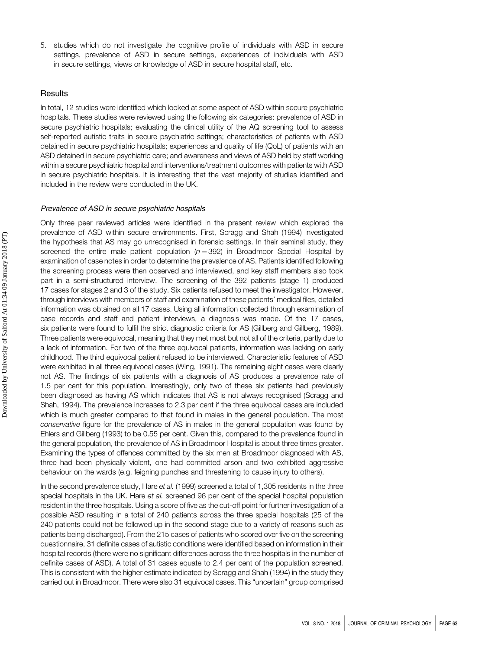5. studies which do not investigate the cognitive profile of individuals with ASD in secure settings, prevalence of ASD in secure settings, experiences of individuals with ASD in secure settings, views or knowledge of ASD in secure hospital staff, etc.

#### **Results**

In total, 12 studies were identified which looked at some aspect of ASD within secure psychiatric hospitals. These studies were reviewed using the following six categories: prevalence of ASD in secure psychiatric hospitals; evaluating the clinical utility of the AQ screening tool to assess self-reported autistic traits in secure psychiatric settings; characteristics of patients with ASD detained in secure psychiatric hospitals; experiences and quality of life (QoL) of patients with an ASD detained in secure psychiatric care; and awareness and views of ASD held by staff working within a secure psychiatric hospital and interventions/treatment outcomes with patients with ASD in secure psychiatric hospitals. It is interesting that the vast majority of studies identified and included in the review were conducted in the UK.

#### Prevalence of ASD in secure psychiatric hospitals

Only three peer reviewed articles were identified in the present review which explored the prevalence of ASD within secure environments. First, Scragg and Shah (1994) investigated the hypothesis that AS may go unrecognised in forensic settings. In their seminal study, they screened the entire male patient population  $(n = 392)$  in Broadmoor Special Hospital by examination of case notes in order to determine the prevalence of AS. Patients identified following the screening process were then observed and interviewed, and key staff members also took part in a semi-structured interview. The screening of the 392 patients (stage 1) produced 17 cases for stages 2 and 3 of the study. Six patients refused to meet the investigator. However, through interviews with members of staff and examination of these patients' medical files, detailed information was obtained on all 17 cases. Using all information collected through examination of case records and staff and patient interviews, a diagnosis was made. Of the 17 cases, six patients were found to fulfil the strict diagnostic criteria for AS (Gillberg and Gillberg, 1989). Three patients were equivocal, meaning that they met most but not all of the criteria, partly due to a lack of information. For two of the three equivocal patients, information was lacking on early childhood. The third equivocal patient refused to be interviewed. Characteristic features of ASD were exhibited in all three equivocal cases (Wing, 1991). The remaining eight cases were clearly not AS. The findings of six patients with a diagnosis of AS produces a prevalence rate of 1.5 per cent for this population. Interestingly, only two of these six patients had previously been diagnosed as having AS which indicates that AS is not always recognised (Scragg and Shah, 1994). The prevalence increases to 2.3 per cent if the three equivocal cases are included which is much greater compared to that found in males in the general population. The most conservative figure for the prevalence of AS in males in the general population was found by Ehlers and Gillberg (1993) to be 0.55 per cent. Given this, compared to the prevalence found in the general population, the prevalence of AS in Broadmoor Hospital is about three times greater. Examining the types of offences committed by the six men at Broadmoor diagnosed with AS, three had been physically violent, one had committed arson and two exhibited aggressive behaviour on the wards (e.g. feigning punches and threatening to cause injury to others).

In the second prevalence study, Hare et al. (1999) screened a total of 1,305 residents in the three special hospitals in the UK. Hare et al. screened 96 per cent of the special hospital population resident in the three hospitals. Using a score of five as the cut-off point for further investigation of a possible ASD resulting in a total of 240 patients across the three special hospitals (25 of the 240 patients could not be followed up in the second stage due to a variety of reasons such as patients being discharged). From the 215 cases of patients who scored over five on the screening questionnaire, 31 definite cases of autistic conditions were identified based on information in their hospital records (there were no significant differences across the three hospitals in the number of definite cases of ASD). A total of 31 cases equate to 2.4 per cent of the population screened. This is consistent with the higher estimate indicated by Scragg and Shah (1994) in the study they carried out in Broadmoor. There were also 31 equivocal cases. This "uncertain" group comprised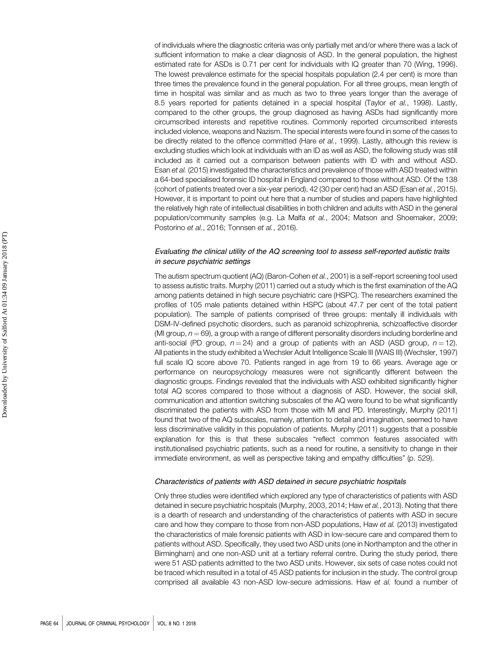of individuals where the diagnostic criteria was only partially met and/or where there was a lack of sufficient information to make a clear diagnosis of ASD. In the general population, the highest estimated rate for ASDs is 0.71 per cent for individuals with IQ greater than 70 (Wing, 1996). The lowest prevalence estimate for the special hospitals population (2.4 per cent) is more than three times the prevalence found in the general population. For all three groups, mean length of time in hospital was similar and as much as two to three years longer than the average of 8.5 years reported for patients detained in a special hospital (Taylor et al., 1998). Lastly, compared to the other groups, the group diagnosed as having ASDs had significantly more circumscribed interests and repetitive routines. Commonly reported circumscribed interests included violence, weapons and Nazism. The special interests were found in some of the cases to be directly related to the offence committed (Hare et al., 1999). Lastly, although this review is excluding studies which look at individuals with an ID as well as ASD, the following study was still included as it carried out a comparison between patients with ID with and without ASD. Esan et al. (2015) investigated the characteristics and prevalence of those with ASD treated within a 64-bed specialised forensic ID hospital in England compared to those without ASD. Of the 138 (cohort of patients treated over a six-year period), 42 (30 per cent) had an ASD (Esan et al., 2015). However, it is important to point out here that a number of studies and papers have highlighted the relatively high rate of intellectual disabilities in both children and adults with ASD in the general population/community samples (e.g. La Malfa et al., 2004; Matson and Shoemaker, 2009; Postorino et al., 2016; Tonnsen et al., 2016).

#### Evaluating the clinical utility of the AQ screening tool to assess self-reported autistic traits in secure psychiatric settings

The autism spectrum quotient (AQ) (Baron-Cohen et al., 2001) is a self-report screening tool used to assess autistic traits. Murphy (2011) carried out a study which is the first examination of the AQ among patients detained in high secure psychiatric care (HSPC). The researchers examined the profiles of 105 male patients detained within HSPC (about 47.7 per cent of the total patient population). The sample of patients comprised of three groups: mentally ill individuals with DSM-IV-defined psychotic disorders, such as paranoid schizophrenia, schizoaffective disorder (MI group,  $n = 69$ ), a group with a range of different personality disorders including borderline and anti-social (PD group,  $n = 24$ ) and a group of patients with an ASD (ASD group,  $n = 12$ ). All patients in the study exhibited a Wechsler Adult Intelligence Scale III (WAIS III) (Wechsler, 1997) full scale IQ score above 70. Patients ranged in age from 19 to 66 years. Average age or performance on neuropsychology measures were not significantly different between the diagnostic groups. Findings revealed that the individuals with ASD exhibited significantly higher total AQ scores compared to those without a diagnosis of ASD. However, the social skill, communication and attention switching subscales of the AQ were found to be what significantly discriminated the patients with ASD from those with MI and PD. Interestingly, Murphy (2011) found that two of the AQ subscales, namely, attention to detail and imagination, seemed to have less discriminative validity in this population of patients. Murphy (2011) suggests that a possible explanation for this is that these subscales "reflect common features associated with institutionalised psychiatric patients, such as a need for routine, a sensitivity to change in their immediate environment, as well as perspective taking and empathy difficulties" (p. 529).

#### Characteristics of patients with ASD detained in secure psychiatric hospitals

Only three studies were identified which explored any type of characteristics of patients with ASD detained in secure psychiatric hospitals (Murphy, 2003, 2014; Haw et al., 2013). Noting that there is a dearth of research and understanding of the characteristics of patients with ASD in secure care and how they compare to those from non-ASD populations, Haw et al. (2013) investigated the characteristics of male forensic patients with ASD in low-secure care and compared them to patients without ASD. Specifically, they used two ASD units (one in Northampton and the other in Birmingham) and one non-ASD unit at a tertiary referral centre. During the study period, there were 51 ASD patients admitted to the two ASD units. However, six sets of case notes could not be traced which resulted in a total of 45 ASD patients for inclusion in the study. The control group comprised all available 43 non-ASD low-secure admissions. Haw et al. found a number of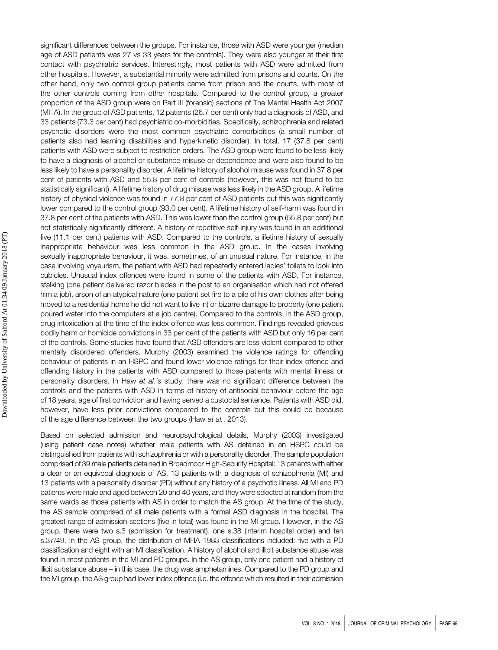significant differences between the groups. For instance, those with ASD were younger (median age of ASD patients was 27 vs 33 years for the controls). They were also younger at their first contact with psychiatric services. Interestingly, most patients with ASD were admitted from other hospitals. However, a substantial minority were admitted from prisons and courts. On the other hand, only two control group patients came from prison and the courts, with most of the other controls coming from other hospitals. Compared to the control group, a greater proportion of the ASD group were on Part III (forensic) sections of The Mental Health Act 2007 (MHA). In the group of ASD patients, 12 patients (26.7 per cent) only had a diagnosis of ASD, and 33 patients (73.3 per cent) had psychiatric co-morbidities. Specifically, schizophrenia and related psychotic disorders were the most common psychiatric comorbidities (a small number of patients also had learning disabilities and hyperkinetic disorder). In total, 17 (37.8 per cent) patients with ASD were subject to restriction orders. The ASD group were found to be less likely to have a diagnosis of alcohol or substance misuse or dependence and were also found to be less likely to have a personality disorder. A lifetime history of alcohol misuse was found in 37.8 per cent of patients with ASD and 55.8 per cent of controls (however, this was not found to be statistically significant). A lifetime history of drug misuse was less likely in the ASD group. A lifetime history of physical violence was found in 77.8 per cent of ASD patients but this was significantly lower compared to the control group (93.0 per cent). A lifetime history of self-harm was found in 37.8 per cent of the patients with ASD. This was lower than the control group (55.8 per cent) but not statistically significantly different. A history of repetitive self-injury was found in an additional five (11.1 per cent) patients with ASD. Compared to the controls, a lifetime history of sexually inappropriate behaviour was less common in the ASD group. In the cases involving sexually inappropriate behaviour, it was, sometimes, of an unusual nature. For instance, in the case involving voyeurism, the patient with ASD had repeatedly entered ladies' toilets to look into cubicles. Unusual index offences were found in some of the patients with ASD. For instance, stalking (one patient delivered razor blades in the post to an organisation which had not offered him a job), arson of an atypical nature (one patient set fire to a pile of his own clothes after being moved to a residential home he did not want to live in) or bizarre damage to property (one patient poured water into the computers at a job centre). Compared to the controls, in the ASD group, drug intoxication at the time of the index offence was less common. Findings revealed grievous bodily harm or homicide convictions in 33 per cent of the patients with ASD but only 16 per cent of the controls. Some studies have found that ASD offenders are less violent compared to other mentally disordered offenders. Murphy (2003) examined the violence ratings for offending behaviour of patients in an HSPC and found lower violence ratings for their index offence and offending history in the patients with ASD compared to those patients with mental illness or personality disorders. In Haw et al.'s study, there was no significant difference between the controls and the patients with ASD in terms of history of antisocial behaviour before the age of 18 years, age of first conviction and having served a custodial sentence. Patients with ASD did, however, have less prior convictions compared to the controls but this could be because of the age difference between the two groups (Haw et al., 2013).

Based on selected admission and neuropsychological details, Murphy (2003) investigated (using patient case notes) whether male patients with AS detained in an HSPC could be distinguished from patients with schizophrenia or with a personality disorder. The sample population comprised of 39 male patients detained in Broadmoor High-Security Hospital: 13 patients with either a clear or an equivocal diagnosis of AS, 13 patients with a diagnosis of schizophrenia (MI) and 13 patients with a personality disorder (PD) without any history of a psychotic illness. All MI and PD patients were male and aged between 20 and 40 years, and they were selected at random from the same wards as those patients with AS in order to match the AS group. At the time of the study, the AS sample comprised of all male patients with a formal ASD diagnosis in the hospital. The greatest range of admission sections (five in total) was found in the MI group. However, in the AS group, there were two s.3 (admission for treatment), one s.38 (interim hospital order) and ten s.37/49. In the AS group, the distribution of MHA 1983 classifications included: five with a PD classification and eight with an MI classification. A history of alcohol and illicit substance abuse was found in most patients in the MI and PD groups. In the AS group, only one patient had a history of illicit substance abuse – in this case, the drug was amphetamines. Compared to the PD group and the MI group, the AS group had lower index offence (i.e. the offence which resulted in their admission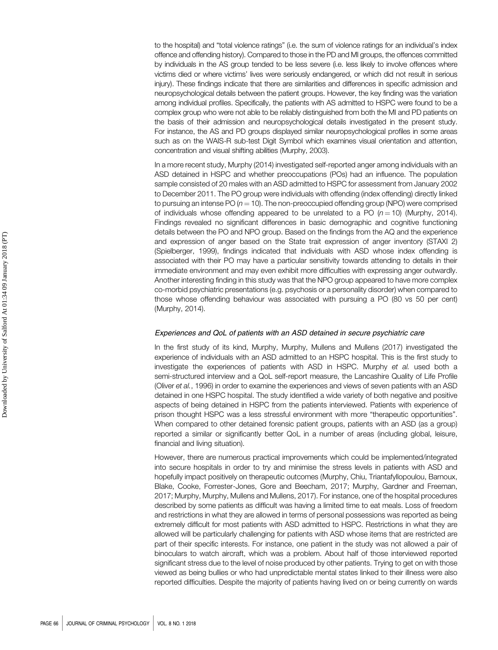to the hospital) and "total violence ratings" (i.e. the sum of violence ratings for an individual's index offence and offending history). Compared to those in the PD and MI groups, the offences committed by individuals in the AS group tended to be less severe (i.e. less likely to involve offences where victims died or where victims' lives were seriously endangered, or which did not result in serious injury). These findings indicate that there are similarities and differences in specific admission and neuropsychological details between the patient groups. However, the key finding was the variation among individual profiles. Specifically, the patients with AS admitted to HSPC were found to be a complex group who were not able to be reliably distinguished from both the MI and PD patients on the basis of their admission and neuropsychological details investigated in the present study. For instance, the AS and PD groups displayed similar neuropsychological profiles in some areas such as on the WAIS-R sub-test Digit Symbol which examines visual orientation and attention, concentration and visual shifting abilities (Murphy, 2003).

In a more recent study, Murphy (2014) investigated self-reported anger among individuals with an ASD detained in HSPC and whether preoccupations (POs) had an influence. The population sample consisted of 20 males with an ASD admitted to HSPC for assessment from January 2002 to December 2011. The PO group were individuals with offending (index offending) directly linked to pursuing an intense PO  $(n = 10)$ . The non-preoccupied offending group (NPO) were comprised of individuals whose offending appeared to be unrelated to a PO  $(n = 10)$  (Murphy, 2014). Findings revealed no significant differences in basic demographic and cognitive functioning details between the PO and NPO group. Based on the findings from the AQ and the experience and expression of anger based on the State trait expression of anger inventory (STAXI 2) (Spielberger, 1999), findings indicated that individuals with ASD whose index offending is associated with their PO may have a particular sensitivity towards attending to details in their immediate environment and may even exhibit more difficulties with expressing anger outwardly. Another interesting finding in this study was that the NPO group appeared to have more complex co-morbid psychiatric presentations (e.g. psychosis or a personality disorder) when compared to those whose offending behaviour was associated with pursuing a PO (80 vs 50 per cent) (Murphy, 2014).

#### Experiences and QoL of patients with an ASD detained in secure psychiatric care

In the first study of its kind, Murphy, Murphy, Mullens and Mullens (2017) investigated the experience of individuals with an ASD admitted to an HSPC hospital. This is the first study to investigate the experiences of patients with ASD in HSPC. Murphy et al. used both a semi-structured interview and a QoL self-report measure, the Lancashire Quality of Life Profile (Oliver et al., 1996) in order to examine the experiences and views of seven patients with an ASD detained in one HSPC hospital. The study identified a wide variety of both negative and positive aspects of being detained in HSPC from the patients interviewed. Patients with experience of prison thought HSPC was a less stressful environment with more "therapeutic opportunities". When compared to other detained forensic patient groups, patients with an ASD (as a group) reported a similar or significantly better QoL in a number of areas (including global, leisure, financial and living situation).

However, there are numerous practical improvements which could be implemented/integrated into secure hospitals in order to try and minimise the stress levels in patients with ASD and hopefully impact positively on therapeutic outcomes (Murphy, Chiu, Triantafyllopoulou, Barnoux, Blake, Cooke, Forrester-Jones, Gore and Beecham, 2017; Murphy, Gardner and Freeman, 2017; Murphy, Murphy, Mullens and Mullens, 2017). For instance, one of the hospital procedures described by some patients as difficult was having a limited time to eat meals. Loss of freedom and restrictions in what they are allowed in terms of personal possessions was reported as being extremely difficult for most patients with ASD admitted to HSPC. Restrictions in what they are allowed will be particularly challenging for patients with ASD whose items that are restricted are part of their specific interests. For instance, one patient in the study was not allowed a pair of binoculars to watch aircraft, which was a problem. About half of those interviewed reported significant stress due to the level of noise produced by other patients. Trying to get on with those viewed as being bullies or who had unpredictable mental states linked to their illness were also reported difficulties. Despite the majority of patients having lived on or being currently on wards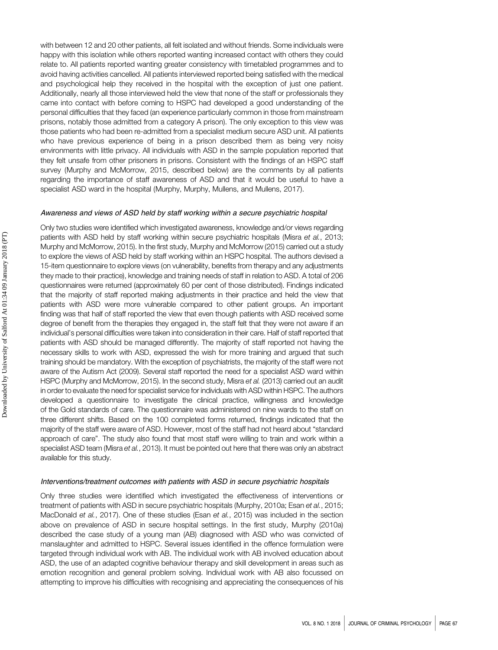with between 12 and 20 other patients, all felt isolated and without friends. Some individuals were happy with this isolation while others reported wanting increased contact with others they could relate to. All patients reported wanting greater consistency with timetabled programmes and to avoid having activities cancelled. All patients interviewed reported being satisfied with the medical and psychological help they received in the hospital with the exception of just one patient. Additionally, nearly all those interviewed held the view that none of the staff or professionals they came into contact with before coming to HSPC had developed a good understanding of the personal difficulties that they faced (an experience particularly common in those from mainstream prisons, notably those admitted from a category A prison). The only exception to this view was those patients who had been re-admitted from a specialist medium secure ASD unit. All patients who have previous experience of being in a prison described them as being very noisy environments with little privacy. All individuals with ASD in the sample population reported that they felt unsafe from other prisoners in prisons. Consistent with the findings of an HSPC staff survey (Murphy and McMorrow, 2015, described below) are the comments by all patients regarding the importance of staff awareness of ASD and that it would be useful to have a specialist ASD ward in the hospital (Murphy, Murphy, Mullens, and Mullens, 2017).

#### Awareness and views of ASD held by staff working within a secure psychiatric hospital

Only two studies were identified which investigated awareness, knowledge and/or views regarding patients with ASD held by staff working within secure psychiatric hospitals (Misra et al., 2013; Murphy and McMorrow, 2015). In the first study, Murphy and McMorrow (2015) carried out a study to explore the views of ASD held by staff working within an HSPC hospital. The authors devised a 15-item questionnaire to explore views (on vulnerability, benefits from therapy and any adjustments they made to their practice), knowledge and training needs of staff in relation to ASD. A total of 206 questionnaires were returned (approximately 60 per cent of those distributed). Findings indicated that the majority of staff reported making adjustments in their practice and held the view that patients with ASD were more vulnerable compared to other patient groups. An important finding was that half of staff reported the view that even though patients with ASD received some degree of benefit from the therapies they engaged in, the staff felt that they were not aware if an individual's personal difficulties were taken into consideration in their care. Half of staff reported that patients with ASD should be managed differently. The majority of staff reported not having the necessary skills to work with ASD, expressed the wish for more training and argued that such training should be mandatory. With the exception of psychiatrists, the majority of the staff were not aware of the Autism Act (2009). Several staff reported the need for a specialist ASD ward within HSPC (Murphy and McMorrow, 2015). In the second study, Misra et al. (2013) carried out an audit in order to evaluate the need for specialist service for individuals with ASD within HSPC. The authors developed a questionnaire to investigate the clinical practice, willingness and knowledge of the Gold standards of care. The questionnaire was administered on nine wards to the staff on three different shifts. Based on the 100 completed forms returned, findings indicated that the majority of the staff were aware of ASD. However, most of the staff had not heard about "standard approach of care". The study also found that most staff were willing to train and work within a specialist ASD team (Misra et al., 2013). It must be pointed out here that there was only an abstract available for this study.

#### Interventions/treatment outcomes with patients with ASD in secure psychiatric hospitals

Only three studies were identified which investigated the effectiveness of interventions or treatment of patients with ASD in secure psychiatric hospitals (Murphy, 2010a; Esan et al., 2015; MacDonald et al., 2017). One of these studies (Esan et al., 2015) was included in the section above on prevalence of ASD in secure hospital settings. In the first study, Murphy (2010a) described the case study of a young man (AB) diagnosed with ASD who was convicted of manslaughter and admitted to HSPC. Several issues identified in the offence formulation were targeted through individual work with AB. The individual work with AB involved education about ASD, the use of an adapted cognitive behaviour therapy and skill development in areas such as emotion recognition and general problem solving. Individual work with AB also focussed on attempting to improve his difficulties with recognising and appreciating the consequences of his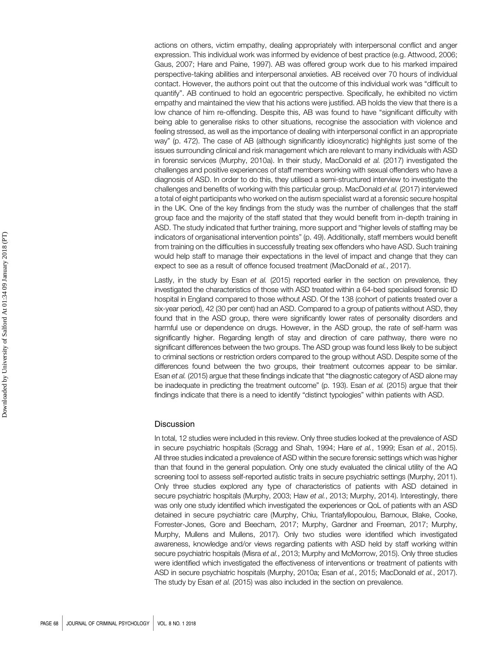actions on others, victim empathy, dealing appropriately with interpersonal conflict and anger expression. This individual work was informed by evidence of best practice (e.g. Attwood, 2006; Gaus, 2007; Hare and Paine, 1997). AB was offered group work due to his marked impaired perspective-taking abilities and interpersonal anxieties. AB received over 70 hours of individual contact. However, the authors point out that the outcome of this individual work was "difficult to quantify". AB continued to hold an egocentric perspective. Specifically, he exhibited no victim empathy and maintained the view that his actions were justified. AB holds the view that there is a low chance of him re-offending. Despite this, AB was found to have "significant difficulty with being able to generalise risks to other situations, recognise the association with violence and feeling stressed, as well as the importance of dealing with interpersonal conflict in an appropriate way" (p. 472). The case of AB (although significantly idiosyncratic) highlights just some of the issues surrounding clinical and risk management which are relevant to many individuals with ASD in forensic services (Murphy, 2010a). In their study, MacDonald et al. (2017) investigated the challenges and positive experiences of staff members working with sexual offenders who have a diagnosis of ASD. In order to do this, they utilised a semi-structured interview to investigate the challenges and benefits of working with this particular group. MacDonald et al. (2017) interviewed a total of eight participants who worked on the autism specialist ward at a forensic secure hospital in the UK. One of the key findings from the study was the number of challenges that the staff group face and the majority of the staff stated that they would benefit from in-depth training in ASD. The study indicated that further training, more support and "higher levels of staffing may be indicators of organisational intervention points" (p. 49). Additionally, staff members would benefit from training on the difficulties in successfully treating sex offenders who have ASD. Such training would help staff to manage their expectations in the level of impact and change that they can expect to see as a result of offence focused treatment (MacDonald et al., 2017).

Lastly, in the study by Esan et al. (2015) reported earlier in the section on prevalence, they investigated the characteristics of those with ASD treated within a 64-bed specialised forensic ID hospital in England compared to those without ASD. Of the 138 (cohort of patients treated over a six-year period), 42 (30 per cent) had an ASD. Compared to a group of patients without ASD, they found that in the ASD group, there were significantly lower rates of personality disorders and harmful use or dependence on drugs. However, in the ASD group, the rate of self-harm was significantly higher. Regarding length of stay and direction of care pathway, there were no significant differences between the two groups. The ASD group was found less likely to be subject to criminal sections or restriction orders compared to the group without ASD. Despite some of the differences found between the two groups, their treatment outcomes appear to be similar. Esan et al. (2015) argue that these findings indicate that "the diagnostic category of ASD alone may be inadequate in predicting the treatment outcome" (p. 193). Esan et al. (2015) argue that their findings indicate that there is a need to identify "distinct typologies" within patients with ASD.

#### **Discussion**

In total, 12 studies were included in this review. Only three studies looked at the prevalence of ASD in secure psychiatric hospitals (Scragg and Shah, 1994; Hare et al., 1999; Esan et al., 2015). All three studies indicated a prevalence of ASD within the secure forensic settings which was higher than that found in the general population. Only one study evaluated the clinical utility of the AQ screening tool to assess self-reported autistic traits in secure psychiatric settings (Murphy, 2011). Only three studies explored any type of characteristics of patients with ASD detained in secure psychiatric hospitals (Murphy, 2003; Haw et al., 2013; Murphy, 2014). Interestingly, there was only one study identified which investigated the experiences or QoL of patients with an ASD detained in secure psychiatric care (Murphy, Chiu, Triantafyllopoulou, Barnoux, Blake, Cooke, Forrester-Jones, Gore and Beecham, 2017; Murphy, Gardner and Freeman, 2017; Murphy, Murphy, Mullens and Mullens, 2017). Only two studies were identified which investigated awareness, knowledge and/or views regarding patients with ASD held by staff working within secure psychiatric hospitals (Misra et al., 2013; Murphy and McMorrow, 2015). Only three studies were identified which investigated the effectiveness of interventions or treatment of patients with ASD in secure psychiatric hospitals (Murphy, 2010a; Esan et al., 2015; MacDonald et al., 2017). The study by Esan et al. (2015) was also included in the section on prevalence.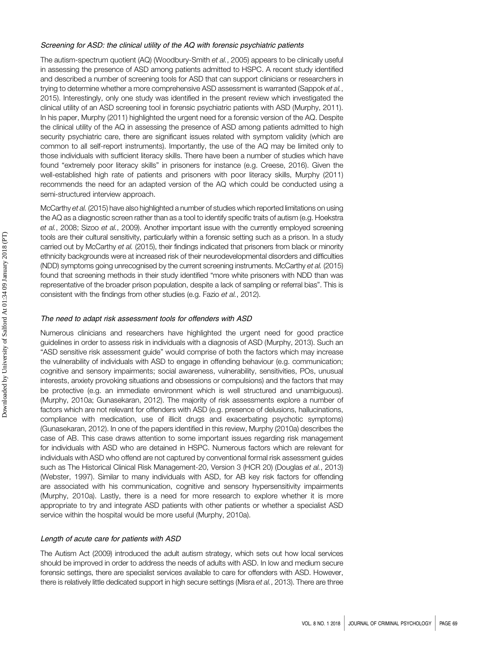#### Screening for ASD: the clinical utility of the AQ with forensic psychiatric patients

The autism-spectrum quotient (AQ) (Woodbury-Smith et al., 2005) appears to be clinically useful in assessing the presence of ASD among patients admitted to HSPC. A recent study identified and described a number of screening tools for ASD that can support clinicians or researchers in trying to determine whether a more comprehensive ASD assessment is warranted (Sappok et al., 2015). Interestingly, only one study was identified in the present review which investigated the clinical utility of an ASD screening tool in forensic psychiatric patients with ASD (Murphy, 2011). In his paper, Murphy (2011) highlighted the urgent need for a forensic version of the AQ. Despite the clinical utility of the AQ in assessing the presence of ASD among patients admitted to high security psychiatric care, there are significant issues related with symptom validity (which are common to all self-report instruments). Importantly, the use of the AQ may be limited only to those individuals with sufficient literacy skills. There have been a number of studies which have found "extremely poor literacy skills" in prisoners for instance (e.g. Creese, 2016). Given the well-established high rate of patients and prisoners with poor literacy skills, Murphy (2011) recommends the need for an adapted version of the AQ which could be conducted using a semi-structured interview approach.

McCarthy et al. (2015) have also highlighted a number of studies which reported limitations on using the AQ as a diagnostic screen rather than as a tool to identify specific traits of autism (e.g. Hoekstra et al., 2008; Sizoo et al., 2009). Another important issue with the currently employed screening tools are their cultural sensitivity, particularly within a forensic setting such as a prison. In a study carried out by McCarthy et al. (2015), their findings indicated that prisoners from black or minority ethnicity backgrounds were at increased risk of their neurodevelopmental disorders and difficulties (NDD) symptoms going unrecognised by the current screening instruments. McCarthy et al. (2015) found that screening methods in their study identified "more white prisoners with NDD than was representative of the broader prison population, despite a lack of sampling or referral bias". This is consistent with the findings from other studies (e.g. Fazio et al., 2012).

#### The need to adapt risk assessment tools for offenders with ASD

Numerous clinicians and researchers have highlighted the urgent need for good practice guidelines in order to assess risk in individuals with a diagnosis of ASD (Murphy, 2013). Such an "ASD sensitive risk assessment guide" would comprise of both the factors which may increase the vulnerability of individuals with ASD to engage in offending behaviour (e.g. communication; cognitive and sensory impairments; social awareness, vulnerability, sensitivities, POs, unusual interests, anxiety provoking situations and obsessions or compulsions) and the factors that may be protective (e.g. an immediate environment which is well structured and unambiguous). (Murphy, 2010a; Gunasekaran, 2012). The majority of risk assessments explore a number of factors which are not relevant for offenders with ASD (e.g. presence of delusions, hallucinations, compliance with medication, use of illicit drugs and exacerbating psychotic symptoms) (Gunasekaran, 2012). In one of the papers identified in this review, Murphy (2010a) describes the case of AB. This case draws attention to some important issues regarding risk management for individuals with ASD who are detained in HSPC. Numerous factors which are relevant for individuals with ASD who offend are not captured by conventional formal risk assessment guides such as The Historical Clinical Risk Management-20, Version 3 (HCR 20) (Douglas et al., 2013) (Webster, 1997). Similar to many individuals with ASD, for AB key risk factors for offending are associated with his communication, cognitive and sensory hypersensitivity impairments (Murphy, 2010a). Lastly, there is a need for more research to explore whether it is more appropriate to try and integrate ASD patients with other patients or whether a specialist ASD service within the hospital would be more useful (Murphy, 2010a).

#### Length of acute care for patients with ASD

The Autism Act (2009) introduced the adult autism strategy, which sets out how local services should be improved in order to address the needs of adults with ASD. In low and medium secure forensic settings, there are specialist services available to care for offenders with ASD. However, there is relatively little dedicated support in high secure settings (Misra et al., 2013). There are three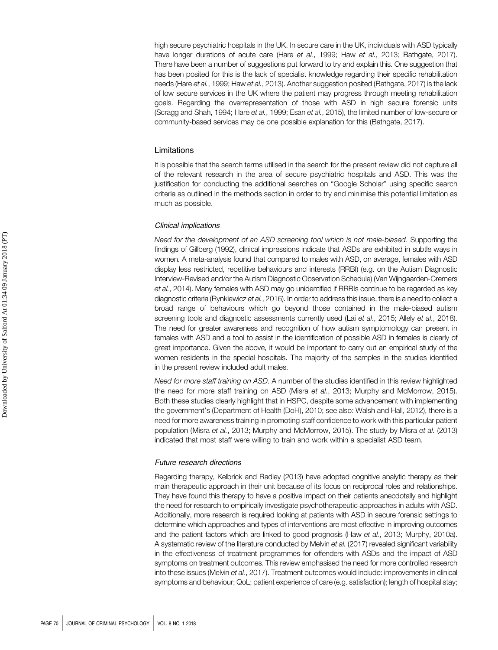high secure psychiatric hospitals in the UK. In secure care in the UK, individuals with ASD typically have longer durations of acute care (Hare et al., 1999; Haw et al., 2013; Bathgate, 2017). There have been a number of suggestions put forward to try and explain this. One suggestion that has been posited for this is the lack of specialist knowledge regarding their specific rehabilitation needs (Hare et al., 1999; Haw et al., 2013). Another suggestion posited (Bathgate, 2017) is the lack of low secure services in the UK where the patient may progress through meeting rehabilitation goals. Regarding the overrepresentation of those with ASD in high secure forensic units (Scragg and Shah, 1994; Hare et al., 1999; Esan et al., 2015), the limited number of low-secure or community-based services may be one possible explanation for this (Bathgate, 2017).

#### Limitations

It is possible that the search terms utilised in the search for the present review did not capture all of the relevant research in the area of secure psychiatric hospitals and ASD. This was the justification for conducting the additional searches on "Google Scholar" using specific search criteria as outlined in the methods section in order to try and minimise this potential limitation as much as possible.

#### Clinical implications

Need for the development of an ASD screening tool which is not male-biased. Supporting the findings of Gillberg (1992), clinical impressions indicate that ASDs are exhibited in subtle ways in women. A meta-analysis found that compared to males with ASD, on average, females with ASD display less restricted, repetitive behaviours and interests (RRBI) (e.g. on the Autism Diagnostic Interview-Revised and/or the Autism Diagnostic Observation Schedule) (Van Wijngaarden-Cremers et al., 2014). Many females with ASD may go unidentified if RRBIs continue to be regarded as key diagnostic criteria (Rynkiewicz et al., 2016). In order to address this issue, there is a need to collect a broad range of behaviours which go beyond those contained in the male-biased autism screening tools and diagnostic assessments currently used (Lai et al., 2015; Allely et al., 2018). The need for greater awareness and recognition of how autism symptomology can present in females with ASD and a tool to assist in the identification of possible ASD in females is clearly of great importance. Given the above, it would be important to carry out an empirical study of the women residents in the special hospitals. The majority of the samples in the studies identified in the present review included adult males.

Need for more staff training on ASD. A number of the studies identified in this review highlighted the need for more staff training on ASD (Misra et al., 2013; Murphy and McMorrow, 2015). Both these studies clearly highlight that in HSPC, despite some advancement with implementing the government's (Department of Health (DoH), 2010; see also: Walsh and Hall, 2012), there is a need for more awareness training in promoting staff confidence to work with this particular patient population (Misra et al., 2013; Murphy and McMorrow, 2015). The study by Misra et al. (2013) indicated that most staff were willing to train and work within a specialist ASD team.

#### Future research directions

Regarding therapy, Kelbrick and Radley (2013) have adopted cognitive analytic therapy as their main therapeutic approach in their unit because of its focus on reciprocal roles and relationships. They have found this therapy to have a positive impact on their patients anecdotally and highlight the need for research to empirically investigate psychotherapeutic approaches in adults with ASD. Additionally, more research is required looking at patients with ASD in secure forensic settings to determine which approaches and types of interventions are most effective in improving outcomes and the patient factors which are linked to good prognosis (Haw et al., 2013; Murphy, 2010a). A systematic review of the literature conducted by Melvin et al. (2017) revealed significant variability in the effectiveness of treatment programmes for offenders with ASDs and the impact of ASD symptoms on treatment outcomes. This review emphasised the need for more controlled research into these issues (Melvin et al., 2017). Treatment outcomes would include: improvements in clinical symptoms and behaviour; QoL; patient experience of care (e.g. satisfaction); length of hospital stay;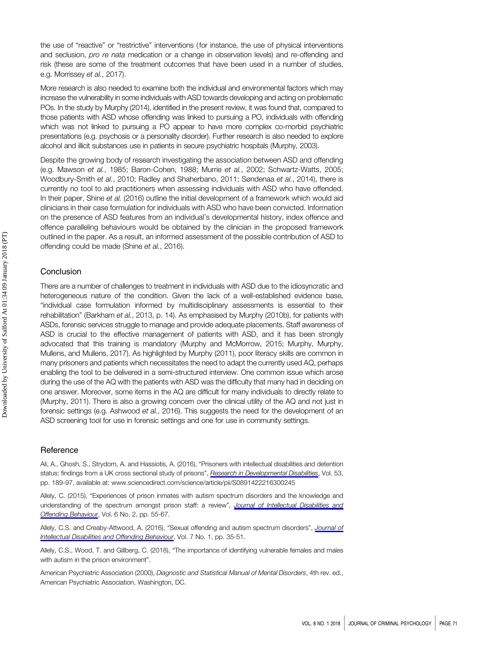the use of "reactive" or "restrictive" interventions ( for instance, the use of physical interventions and seclusion, pro re nata medication or a change in observation levels) and re-offending and risk (these are some of the treatment outcomes that have been used in a number of studies, e.g. Morrissey et al., 2017).

More research is also needed to examine both the individual and environmental factors which may increase the vulnerability in some individuals with ASD towards developing and acting on problematic POs. In the study by Murphy (2014), identified in the present review, it was found that, compared to those patients with ASD whose offending was linked to pursuing a PO, individuals with offending which was not linked to pursuing a PO appear to have more complex co-morbid psychiatric presentations (e.g. psychosis or a personality disorder). Further research is also needed to explore alcohol and illicit substances use in patients in secure psychiatric hospitals (Murphy, 2003).

Despite the growing body of research investigating the association between ASD and offending (e.g. Mawson et al., 1985; Baron-Cohen, 1988; Murrie et al., 2002; Schwartz-Watts, 2005; Woodbury-Smith et al., 2010; Radley and Shaherbano, 2011; Søndenaa et al., 2014), there is currently no tool to aid practitioners when assessing individuals with ASD who have offended. In their paper, Shine et al. (2016) outline the initial development of a framework which would aid clinicians in their case formulation for individuals with ASD who have been convicted. Information on the presence of ASD features from an individual's developmental history, index offence and offence paralleling behaviours would be obtained by the clinician in the proposed framework outlined in the paper. As a result, an informed assessment of the possible contribution of ASD to offending could be made (Shine et al., 2016).

#### Conclusion

There are a number of challenges to treatment in individuals with ASD due to the idiosyncratic and heterogeneous nature of the condition. Given the lack of a well-established evidence base, "individual case formulation informed by multidisciplinary assessments is essential to their rehabilitation" (Barkham et al., 2013, p. 14). As emphasised by Murphy (2010b), for patients with ASDs, forensic services struggle to manage and provide adequate placements. Staff awareness of ASD is crucial to the effective management of patients with ASD, and it has been strongly advocated that this training is mandatory (Murphy and McMorrow, 2015; Murphy, Murphy, Mullens, and Mullens, 2017). As highlighted by Murphy (2011), poor literacy skills are common in many prisoners and patients which necessitates the need to adapt the currently used AQ, perhaps enabling the tool to be delivered in a semi-structured interview. One common issue which arose during the use of the AQ with the patients with ASD was the difficulty that many had in deciding on one answer. Moreover, some items in the AQ are difficult for many individuals to directly relate to (Murphy, 2011). There is also a growing concern over the clinical utility of the AQ and not just in forensic settings (e.g. Ashwood et al., 2016). This suggests the need for the development of an ASD screening tool for use in forensic settings and one for use in community settings.

#### Reference

Ali, A., Ghosh, S., Strydom, A. and Hassiotis, A. (2016), "Prisoners with intellectual disabilities and detention status: findings from a UK cross sectional study of prisons", **[Research in Developmental Disabilities](http://www.emeraldinsight.com/action/showLinks?doi=10.1108%2FJCP-06-2017-0028&crossref=10.1016%2Fj.ridd.2016.02.004&isi=000374204900017&citationId=p_1)**, Vol. 53, pp. 189-97, available at:<www.sciencedirect.com/science/article/pii/S0891422216300245>

Allely, C. (2015), "Experiences of prison inmates with autism spectrum disorders and the knowledge and understanding of the spectrum amongst prison staff: a review", [Journal of Intellectual Disabilities and](http://www.emeraldinsight.com/action/showLinks?doi=10.1108%2FJCP-06-2017-0028&system=10.1108%2FJIDOB-06-2015-0014&isi=000218682500002&citationId=p_2) [Offending Behaviour](http://www.emeraldinsight.com/action/showLinks?doi=10.1108%2FJCP-06-2017-0028&system=10.1108%2FJIDOB-06-2015-0014&isi=000218682500002&citationId=p_2), Vol. 6 No. 2, pp. 55-67.

Allely, C.S. and Creaby-Attwood, A. (2016), "Sexual offending and autism spectrum disorders", [Journal of](http://www.emeraldinsight.com/action/showLinks?doi=10.1108%2FJCP-06-2017-0028&isi=000398663400005&citationId=p_3) [Intellectual Disabilities and Offending Behaviour](http://www.emeraldinsight.com/action/showLinks?doi=10.1108%2FJCP-06-2017-0028&isi=000398663400005&citationId=p_3), Vol. 7 No. 1, pp. 35-51.

Allely, C.S., Wood, T. and Gillberg, C. (2018), "The importance of identifying vulnerable females and males with autism in the prison environment".

American Psychiatric Association (2000), Diagnostic and Statistical Manual of Mental Disorders, 4th rev. ed., American Psychiatric Association, Washington, DC.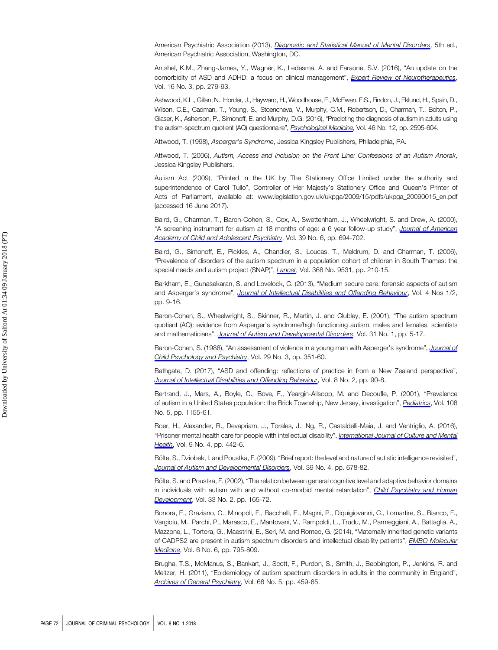American Psychiatric Association (2013), *[Diagnostic and Statistical Manual of Mental Disorders](http://www.emeraldinsight.com/action/showLinks?doi=10.1108%2FJCP-06-2017-0028&crossref=10.1176%2Fappi.books.9780890425596&citationId=p_6)*, 5th ed., American Psychiatric Association, Washington, DC.

Antshel, K.M., Zhang-James, Y., Wagner, K., Ledesma, A. and Faraone, S.V. (2016), "An update on the comorbidity of ASD and ADHD: a focus on clinical management", [Expert Review of Neurotherapeutics](http://www.emeraldinsight.com/action/showLinks?doi=10.1108%2FJCP-06-2017-0028&crossref=10.1586%2F14737175.2016.1146591&isi=000371336500001&citationId=p_7) Vol. 16 No. 3, pp. 279-93.

Ashwood, K.L., Gillan, N., Horder, J., Hayward, H., Woodhouse, E., McEwen, F.S., Findon, J., Eklund, H., Spain, D., Wilson, C.E., Cadman, T., Young, S., Stoencheva, V., Murphy, C.M., Robertson, D., Charman, T., Bolton, P., Glaser, K., Asherson, P., Simonoff, E. and Murphy, D.G. (2016), "Predicting the diagnosis of autism in adults using the autism-spectrum quotient (AQ) questionnaire", [Psychological Medicine](http://www.emeraldinsight.com/action/showLinks?doi=10.1108%2FJCP-06-2017-0028&crossref=10.1017%2FS0033291716001082&isi=000382567600012&citationId=p_8), Vol. 46 No. 12, pp. 2595-604.

Attwood, T. (1998), Asperger's Syndrome, Jessica Kingsley Publishers, Philadelphia, PA.

Attwood, T. (2006), Autism, Access and Inclusion on the Front Line: Confessions of an Autism Anorak, Jessica Kingsley Publishers.

Autism Act (2009), "Printed in the UK by The Stationery Office Limited under the authority and superintendence of Carol Tullo", Controller of Her Majesty's Stationery Office and Queen's Printer of Acts of Parliament, available at: [www.legislation.gov.uk/ukpga/2009/15/pdfs/ukpga\\_20090015\\_en.pdf](www.legislation.gov.uk/ukpga/2009/15/pdfs/ukpga_20090015_en.pdf) (accessed 16 June 2017).

Baird, G., Charman, T., Baron-Cohen, S., Cox, A., Swettenham, J., Wheelwright, S. and Drew, A. (2000), "A screening instrument for autism at 18 months of age: a 6 year follow-up study", [Journal of American](http://www.emeraldinsight.com/action/showLinks?doi=10.1108%2FJCP-06-2017-0028&crossref=10.1097%2F00004583-200006000-00007&isi=000087331200007&citationId=p_12) [Academy of Child and Adolescent Psychiatry](http://www.emeraldinsight.com/action/showLinks?doi=10.1108%2FJCP-06-2017-0028&crossref=10.1097%2F00004583-200006000-00007&isi=000087331200007&citationId=p_12), Vol. 39 No. 6, pp. 694-702.

Baird, G., Simonoff, E., Pickles, A., Chandler, S., Loucas, T., Meldrum, D. and Charman, T. (2006), "Prevalence of disorders of the autism spectrum in a population cohort of children in South Thames: the special needs and autism project (SNAP)", [Lancet](http://www.emeraldinsight.com/action/showLinks?doi=10.1108%2FJCP-06-2017-0028&crossref=10.1016%2FS0140-6736%2806%2969041-7&isi=000239095000032&citationId=p_13), Vol. 368 No. 9531, pp. 210-15.

Barkham, E., Gunasekaran, S. and Lovelock, C. (2013), "Medium secure care: forensic aspects of autism and Asperger's syndrome", [Journal of Intellectual Disabilities and Offending Behaviour](http://www.emeraldinsight.com/action/showLinks?doi=10.1108%2FJCP-06-2017-0028&system=10.1108%2FJIDOB-02-2013-0005&citationId=p_14), Vol. 4 Nos 1/2, pp. 9-16.

Baron-Cohen, S., Wheelwright, S., Skinner, R., Martin, J. and Clubley, E. (2001), "The autism spectrum quotient (AQ): evidence from Asperger's syndrome/high functioning autism, males and females, scientists and mathematicians", [Journal of Autism and Developmental Disorders](http://www.emeraldinsight.com/action/showLinks?doi=10.1108%2FJCP-06-2017-0028&crossref=10.1023%2FA%3A1005653411471&isi=000169480700002&citationId=p_15), Vol. 31 No. 1, pp. 5-17.

Baron-Cohen, S. (1988), "An assessment of violence in a young man with Asperger's syndrome", *[Journal of](http://www.emeraldinsight.com/action/showLinks?doi=10.1108%2FJCP-06-2017-0028&crossref=10.1111%2Fj.1469-7610.1988.tb00723.x&isi=A1988P109800012&citationId=p_16)* [Child Psychology and Psychiatry](http://www.emeraldinsight.com/action/showLinks?doi=10.1108%2FJCP-06-2017-0028&crossref=10.1111%2Fj.1469-7610.1988.tb00723.x&isi=A1988P109800012&citationId=p_16), Vol. 29 No. 3, pp. 351-60.

Bathgate, D. (2017), "ASD and offending: reflections of practice in from a New Zealand perspective", [Journal of Intellectual Disabilities and Offending Behaviour](http://www.emeraldinsight.com/action/showLinks?doi=10.1108%2FJCP-06-2017-0028&system=10.1108%2FJIDOB-07-2016-0012&isi=000404820400005&citationId=p_17), Vol. 8 No. 2, pp. 90-8.

Bertrand, J., Mars, A., Boyle, C., Bove, F., Yeargin-Allsopp, M. and Decoufle, P. (2001), "Prevalence of autism in a United States population: the Brick Township, New Jersey, investigation", [Pediatrics](http://www.emeraldinsight.com/action/showLinks?doi=10.1108%2FJCP-06-2017-0028&crossref=10.1542%2Fpeds.108.5.1155&isi=000171925200034&citationId=p_18), Vol. 108 No. 5, pp. 1155-61.

Boer, H., Alexander, R., Devapriam, J., Torales, J., Ng, R., Castaldelli-Maia, J. and Ventriglio, A. (2016), "Prisoner mental health care for people with intellectual disability", *[International Journal of Culture and Mental](http://www.emeraldinsight.com/action/showLinks?doi=10.1108%2FJCP-06-2017-0028&crossref=10.1080%2F17542863.2016.1260200&citationId=p_19)* [Health](http://www.emeraldinsight.com/action/showLinks?doi=10.1108%2FJCP-06-2017-0028&crossref=10.1080%2F17542863.2016.1260200&citationId=p_19), Vol. 9 No. 4, pp. 442-6.

Bölte, S., Dziobek, I. and Poustka, F. (2009), "Brief report: the level and nature of autistic intelligence revisited", [Journal of Autism and Developmental Disorders](http://www.emeraldinsight.com/action/showLinks?doi=10.1108%2FJCP-06-2017-0028&crossref=10.1007%2Fs10803-008-0667-2&isi=000263977700013&citationId=p_20), Vol. 39 No. 4, pp. 678-82.

Bölte, S. and Poustka, F. (2002), "The relation between general cognitive level and adaptive behavior domains in individuals with autism with and without co-morbid mental retardation", [Child Psychiatry and Human](http://www.emeraldinsight.com/action/showLinks?doi=10.1108%2FJCP-06-2017-0028&crossref=10.1023%2FA%3A1020734325815&isi=000179379700005&citationId=p_21) [Development](http://www.emeraldinsight.com/action/showLinks?doi=10.1108%2FJCP-06-2017-0028&crossref=10.1023%2FA%3A1020734325815&isi=000179379700005&citationId=p_21), Vol. 33 No. 2, pp. 165-72.

Bonora, E., Graziano, C., Minopoli, F., Bacchelli, E., Magini, P., Diquigiovanni, C., Lomartire, S., Bianco, F., Vargiolu, M., Parchi, P., Marasco, E., Mantovani, V., Rampoldi, L., Trudu, M., Parmeggiani, A., Battaglia, A., Mazzone, L., Tortora, G., Maestrini, E., Seri, M. and Romeo, G. (2014), "Maternally inherited genetic variants of CADPS2 are present in autism spectrum disorders and intellectual disability patients", [EMBO Molecular](http://www.emeraldinsight.com/action/showLinks?doi=10.1108%2FJCP-06-2017-0028&isi=000337546600008&citationId=p_22) [Medicine](http://www.emeraldinsight.com/action/showLinks?doi=10.1108%2FJCP-06-2017-0028&isi=000337546600008&citationId=p_22), Vol. 6 No. 6, pp. 795-809.

Brugha, T.S., McManus, S., Bankart, J., Scott, F., Purdon, S., Smith, J., Bebbington, P., Jenkins, R. and Meltzer, H. (2011), "Epidemiology of autism spectrum disorders in adults in the community in England", [Archives of General Psychiatry](http://www.emeraldinsight.com/action/showLinks?doi=10.1108%2FJCP-06-2017-0028&crossref=10.1001%2Farchgenpsychiatry.2011.38&isi=000290114500005&citationId=p_23), Vol. 68 No. 5, pp. 459-65.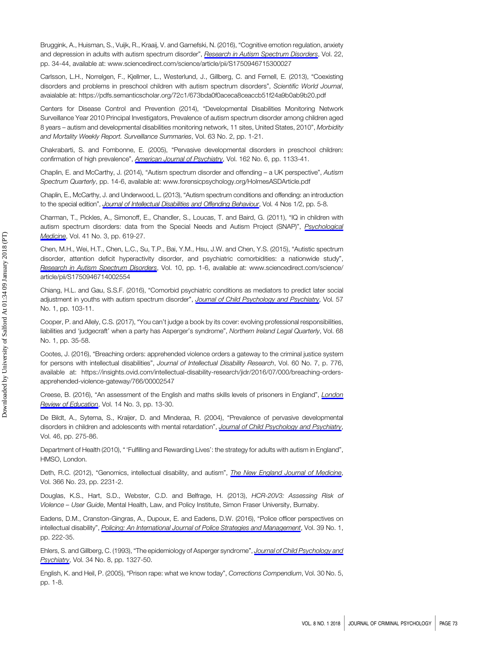Bruggink, A., Huisman, S., Vuijk, R., Kraaij, V. and Garnefski, N. (2016), "Cognitive emotion regulation, anxiety and depression in adults with autism spectrum disorder", [Research in Autism Spectrum Disorders](http://www.emeraldinsight.com/action/showLinks?doi=10.1108%2FJCP-06-2017-0028&crossref=10.1016%2Fj.rasd.2015.11.003&isi=000369211800004&citationId=p_24), Vol. 22, pp. 34-44, available at:<www.sciencedirect.com/science/article/pii/S1750946715300027>

Carlsson, L.H., Norrelgen, F., Kjellmer, L., Westerlund, J., Gillberg, C. and Fernell, E. (2013), "Coexisting disorders and problems in preschool children with autism spectrum disorders", Scientific World Journal, avaialable at:<https://pdfs.semanticscholar.org/72c1/673bda0f0aceca8ceaccb51f24a9b0ab9b20.pdf>

Centers for Disease Control and Prevention (2014), "Developmental Disabilities Monitoring Network Surveillance Year 2010 Principal Investigators, Prevalence of autism spectrum disorder among children aged 8 years – autism and developmental disabilities monitoring network, 11 sites, United States, 2010", Morbidity and Mortality Weekly Report. Surveillance Summaries, Vol. 63 No. 2, pp. 1-21.

Chakrabarti, S. and Fombonne, E. (2005), "Pervasive developmental disorders in preschool children: confirmation of high prevalence", [American Journal of Psychiatry](http://www.emeraldinsight.com/action/showLinks?doi=10.1108%2FJCP-06-2017-0028&crossref=10.1176%2Fappi.ajp.162.6.1133&isi=000229504300015&citationId=p_27), Vol. 162 No. 6, pp. 1133-41.

Chaplin, E. and McCarthy, J. (2014), "Autism spectrum disorder and offending – a UK perspective", Autism Spectrum Quarterly, pp. 14-6, available at:<www.forensicpsychology.org/HolmesASDArticle.pdf>

Chaplin, E., McCarthy, J. and Underwood, L. (2013), "Autism spectrum conditions and offending: an introduction to the special edition", [Journal of Intellectual Disabilities and Offending Behaviour](http://www.emeraldinsight.com/action/showLinks?doi=10.1108%2FJCP-06-2017-0028&system=10.1108%2FJIDOB-05-2013-0012&citationId=p_29), Vol. 4 Nos 1/2, pp. 5-8.

Charman, T., Pickles, A., Simonoff, E., Chandler, S., Loucas, T. and Baird, G. (2011), "IQ in children with autism spectrum disorders: data from the Special Needs and Autism Project (SNAP)", [Psychological](http://www.emeraldinsight.com/action/showLinks?doi=10.1108%2FJCP-06-2017-0028&crossref=10.1017%2FS0033291710000991&isi=000287622100017&citationId=p_30) [Medicine](http://www.emeraldinsight.com/action/showLinks?doi=10.1108%2FJCP-06-2017-0028&crossref=10.1017%2FS0033291710000991&isi=000287622100017&citationId=p_30), Vol. 41 No. 3, pp. 619-27.

Chen, M.H., Wei, H.T., Chen, L.C., Su, T.P., Bai, Y.M., Hsu, J.W. and Chen, Y.S. (2015), "Autistic spectrum disorder, attention deficit hyperactivity disorder, and psychiatric comorbidities: a nationwide study", [Research in Autism Spectrum Disorders](http://www.emeraldinsight.com/action/showLinks?doi=10.1108%2FJCP-06-2017-0028&crossref=10.1016%2Fj.rasd.2014.10.014&isi=000348266700001&citationId=p_31), Vol. 10, pp. 1-6, available at: [www.sciencedirect.com/science/](www.sciencedirect.com/science/article/pii/S1750946714002554) [article/pii/S1750946714002554](www.sciencedirect.com/science/article/pii/S1750946714002554)

Chiang, H.L. and Gau, S.S.F. (2016), "Comorbid psychiatric conditions as mediators to predict later social adjustment in youths with autism spectrum disorder", [Journal of Child Psychology and Psychiatry](http://www.emeraldinsight.com/action/showLinks?doi=10.1108%2FJCP-06-2017-0028&crossref=10.1111%2Fjcpp.12450&isi=000366512500013&citationId=p_32), Vol. 57 No. 1, pp. 103-11.

Cooper, P. and Allely, C.S. (2017), "You can't judge a book by its cover: evolving professional responsibilities, liabilities and 'judgecraft' when a party has Asperger's syndrome", Northern Ireland Legal Quarterly, Vol. 68 No. 1, pp. 35-58.

Cootes, J. (2016), "Breaching orders: apprehended violence orders a gateway to the criminal justice system for persons with intellectual disabilities", Journal of Intellectual Disability Research, Vol. 60 No. 7, p. 776, available at: [https://insights.ovid.com/intellectual-disability-research/jidr/2016/07/000/breaching-orders](https://insights.ovid.com/intellectual-disability-research/jidr/2016/07/000/breaching-orders-apprehended-violence-gateway/766/00002547)[apprehended-violence-gateway/766/00002547](https://insights.ovid.com/intellectual-disability-research/jidr/2016/07/000/breaching-orders-apprehended-violence-gateway/766/00002547)

Creese, B. (2016), "An assessment of the English and maths skills levels of prisoners in England", [London](http://www.emeraldinsight.com/action/showLinks?doi=10.1108%2FJCP-06-2017-0028&crossref=10.18546%2FLRE.14.3.02&isi=000392194300002&citationId=p_35) [Review of Education](http://www.emeraldinsight.com/action/showLinks?doi=10.1108%2FJCP-06-2017-0028&crossref=10.18546%2FLRE.14.3.02&isi=000392194300002&citationId=p_35), Vol. 14 No. 3, pp. 13-30.

De Bildt, A., Sytema, S., Kraijer, D. and Minderaa, R. (2004), "Prevalence of pervasive developmental disorders in children and adolescents with mental retardation", [Journal of Child Psychology and Psychiatry](http://www.emeraldinsight.com/action/showLinks?doi=10.1108%2FJCP-06-2017-0028&crossref=10.1111%2Fj.1469-7610.2004.00346.x&isi=000227953000007&citationId=p_36), Vol. 46, pp. 275-86.

Department of Health (2010), " 'Fulfilling and Rewarding Lives': the strategy for adults with autism in England", HMSO, London.

Deth, R.C. (2012), "Genomics, intellectual disability, and autism", [The New England Journal of Medicine](http://www.emeraldinsight.com/action/showLinks?doi=10.1108%2FJCP-06-2017-0028&crossref=10.1056%2FNEJMc1204397&isi=000304863400025&citationId=p_38), Vol. 366 No. 23, pp. 2231-2.

Douglas, K.S., Hart, S.D., Webster, C.D. and Belfrage, H. (2013), HCR-20V3: Assessing Risk of Violence – User Guide, Mental Health, Law, and Policy Institute, Simon Fraser University, Burnaby.

Eadens, D.M., Cranston-Gingras, A., Dupoux, E. and Eadens, D.W. (2016), "Police officer perspectives on intellectual disability", [Policing: An International Journal of Police Strategies and Management](http://www.emeraldinsight.com/action/showLinks?doi=10.1108%2FJCP-06-2017-0028&system=10.1108%2FPIJPSM-03-2015-0039&isi=000374179700015&citationId=p_40), Vol. 39 No. 1, pp. 222-35.

Ehlers, S. and Gillberg, C. (1993), "The epidemiology of Asperger syndrome", [Journal of Child Psychology and](http://www.emeraldinsight.com/action/showLinks?doi=10.1108%2FJCP-06-2017-0028&crossref=10.1111%2Fj.1469-7610.1993.tb02094.x&isi=A1993NC08400004&citationId=p_41) [Psychiatry](http://www.emeraldinsight.com/action/showLinks?doi=10.1108%2FJCP-06-2017-0028&crossref=10.1111%2Fj.1469-7610.1993.tb02094.x&isi=A1993NC08400004&citationId=p_41), Vol. 34 No. 8, pp. 1327-50.

English, K. and Heil, P. (2005), "Prison rape: what we know today", Corrections Compendium, Vol. 30 No. 5, pp. 1-8.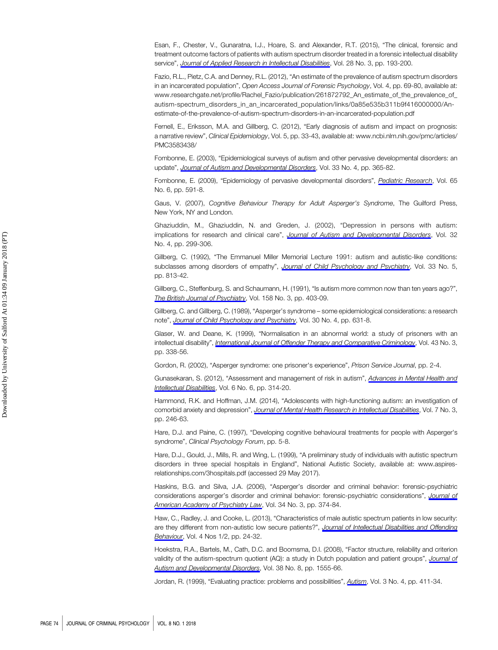Esan, F., Chester, V., Gunaratna, I.J., Hoare, S. and Alexander, R.T. (2015), "The clinical, forensic and treatment outcome factors of patients with autism spectrum disorder treated in a forensic intellectual disability service", [Journal of Applied Research in Intellectual Disabilities](http://www.emeraldinsight.com/action/showLinks?doi=10.1108%2FJCP-06-2017-0028&crossref=10.1111%2Fjar.12121&isi=000352799100003&citationId=p_43), Vol. 28 No. 3, pp. 193-200.

Fazio, R.L., Pietz, C.A. and Denney, R.L. (2012), "An estimate of the prevalence of autism spectrum disorders in an incarcerated population", Open Access Journal of Forensic Psychology, Vol. 4, pp. 69-80, available at: www.researchgate.net/profile/Rachel\_Fazio/publication/261872792\_An\_estimate\_of\_the\_prevalence\_of [autism-spectrum\\_disorders\\_in\\_an\\_incarcerated\\_population/links/0a85e535b311b9f416000000/An](www.researchgate.net/profile/Rachel_Fazio/publication/261872792_An_estimate_of_the_prevalence_of_autism-spectrum_disorders_in_an_incarcerated_population/links/0a85e535b311b9f416000000/An-estimate-of-the-prevalence-of-autism-spectrum-disorders-in-an-incarcerated-population.pdf)[estimate-of-the-prevalence-of-autism-spectrum-disorders-in-an-incarcerated-population.pdf](www.researchgate.net/profile/Rachel_Fazio/publication/261872792_An_estimate_of_the_prevalence_of_autism-spectrum_disorders_in_an_incarcerated_population/links/0a85e535b311b9f416000000/An-estimate-of-the-prevalence-of-autism-spectrum-disorders-in-an-incarcerated-population.pdf)

Fernell, E., Eriksson, M.A. and Gillberg, C. (2012), "Early diagnosis of autism and impact on prognosis: a narrative review", Clinical Epidemiology, Vol. 5, pp. 33-43, available at: [www.ncbi.nlm.nih.gov/pmc/articles/](www.ncbi.nlm.nih.gov/pmc/articles/PMC3583438/) [PMC3583438/](www.ncbi.nlm.nih.gov/pmc/articles/PMC3583438/)

Fombonne, E. (2003), "Epidemiological surveys of autism and other pervasive developmental disorders: an update", [Journal of Autism and Developmental Disorders](http://www.emeraldinsight.com/action/showLinks?doi=10.1108%2FJCP-06-2017-0028&crossref=10.1023%2FA%3A1025054610557&isi=000184587800002&citationId=p_46), Vol. 33 No. 4, pp. 365-82.

Fombonne, E. (2009), "Epidemiology of pervasive developmental disorders", [Pediatric Research](http://www.emeraldinsight.com/action/showLinks?doi=10.1108%2FJCP-06-2017-0028&crossref=10.1203%2FPDR.0b013e31819e7203&isi=000266271800001&citationId=p_47), Vol. 65 No. 6, pp. 591-8.

Gaus, V. (2007), Cognitive Behaviour Therapy for Adult Asperger's Syndrome, The Guilford Press, New York, NY and London.

Ghaziuddin, M., Ghaziuddin, N. and Greden, J. (2002), "Depression in persons with autism: implications for research and clinical care", [Journal of Autism and Developmental Disorders](http://www.emeraldinsight.com/action/showLinks?doi=10.1108%2FJCP-06-2017-0028&crossref=10.1023%2FA%3A1016330802348&isi=000176866600005&citationId=p_49), Vol. 32 No. 4, pp. 299-306.

Gillberg, C. (1992), "The Emmanuel Miller Memorial Lecture 1991: autism and autistic-like conditions: subclasses among disorders of empathy", [Journal of Child Psychology and Psychiatry](http://www.emeraldinsight.com/action/showLinks?doi=10.1108%2FJCP-06-2017-0028&crossref=10.1111%2Fj.1469-7610.1992.tb01959.x&isi=A1992JD68700002&citationId=p_50), Vol. 33 No. 5, pp. 813-42.

Gillberg, C., Steffenburg, S. and Schaumann, H. (1991), "Is autism more common now than ten years ago?", [The British Journal of Psychiatry](http://www.emeraldinsight.com/action/showLinks?doi=10.1108%2FJCP-06-2017-0028&crossref=10.1192%2Fbjp.158.3.403&citationId=p_51), Vol. 158 No. 3, pp. 403-09.

Gillberg, C. and Gillberg, C. (1989), "Asperger's syndrome – some epidemiological considerations: a research note", [Journal of Child Psychology and Psychiatry](http://www.emeraldinsight.com/action/showLinks?doi=10.1108%2FJCP-06-2017-0028&crossref=10.1111%2Fj.1469-7610.1989.tb00275.x&isi=A1989AJ28400012&citationId=p_52), Vol. 30 No. 4, pp. 631-8.

Glaser, W. and Deane, K. (1999), "Normalisation in an abnormal world: a study of prisoners with an intellectual disability", [International Journal of Offender Therapy and Comparative Criminology](http://www.emeraldinsight.com/action/showLinks?doi=10.1108%2FJCP-06-2017-0028&crossref=10.1177%2F0306624X99433007&isi=000082179500007&citationId=p_53), Vol. 43 No. 3, pp. 338-56.

Gordon, R. (2002), "Asperger syndrome: one prisoner's experience", Prison Service Journal, pp. 2-4.

Gunasekaran, S. (2012), "Assessment and management of risk in autism", [Advances in Mental Health and](http://www.emeraldinsight.com/action/showLinks?doi=10.1108%2FJCP-06-2017-0028&system=10.1108%2F20441281211285964&citationId=p_55) [Intellectual Disabilities](http://www.emeraldinsight.com/action/showLinks?doi=10.1108%2FJCP-06-2017-0028&system=10.1108%2F20441281211285964&citationId=p_55), Vol. 6 No. 6, pp. 314-20.

Hammond, R.K. and Hoffman, J.M. (2014), "Adolescents with high-functioning autism: an investigation of comorbid anxiety and depression", *[Journal of Mental Health Research in Intellectual Disabilities](http://www.emeraldinsight.com/action/showLinks?doi=10.1108%2FJCP-06-2017-0028&crossref=10.1080%2F19315864.2013.843223&isi=000339713400004&citationId=p_56)*. Vol. 7 No. 3. pp. 246-63.

Hare, D.J. and Paine, C. (1997), "Developing cognitive behavioural treatments for people with Asperger's syndrome", Clinical Psychology Forum, pp. 5-8.

Hare, D.J., Gould, J., Mills, R. and Wing, L. (1999), "A preliminary study of individuals with autistic spectrum disorders in three special hospitals in England", National Autistic Society, available at: [www.aspires](www.aspires-relationships.com/3hospitals.pdf)[relationships.com/3hospitals.pdf](www.aspires-relationships.com/3hospitals.pdf) (accessed 29 May 2017).

Haskins, B.G. and Silva, J.A. (2006), "Asperger's disorder and criminal behavior: forensic-psychiatric considerations asperger's disorder and criminal behavior: forensic-psychiatric considerations", [Journal of](http://www.emeraldinsight.com/action/showLinks?doi=10.1108%2FJCP-06-2017-0028&isi=000243713400015&citationId=p_59) [American Academy of Psychiatry Law](http://www.emeraldinsight.com/action/showLinks?doi=10.1108%2FJCP-06-2017-0028&isi=000243713400015&citationId=p_59), Vol. 34 No. 3, pp. 374-84.

Haw, C., Radley, J. and Cooke, L. (2013), "Characteristics of male autistic spectrum patients in low security: are they different from non-autistic low secure patients?", [Journal of Intellectual Disabilities and Offending](http://www.emeraldinsight.com/action/showLinks?doi=10.1108%2FJCP-06-2017-0028&system=10.1108%2FJIDOB-03-2013-0006&citationId=p_60) [Behaviour](http://www.emeraldinsight.com/action/showLinks?doi=10.1108%2FJCP-06-2017-0028&system=10.1108%2FJIDOB-03-2013-0006&citationId=p_60), Vol. 4 Nos 1/2, pp. 24-32.

Hoekstra, R.A., Bartels, M., Cath, D.C. and Boomsma, D.I. (2008), "Factor structure, reliability and criterion validity of the autism-spectrum quotient (AQ): a study in Dutch population and patient groups", [Journal of](http://www.emeraldinsight.com/action/showLinks?doi=10.1108%2FJCP-06-2017-0028&crossref=10.1007%2Fs10803-008-0538-x&isi=000258531400014&citationId=p_61) [Autism and Developmental Disorders](http://www.emeraldinsight.com/action/showLinks?doi=10.1108%2FJCP-06-2017-0028&crossref=10.1007%2Fs10803-008-0538-x&isi=000258531400014&citationId=p_61), Vol. 38 No. 8, pp. 1555-66.

Jordan, R. (1999), "Evaluating practice: problems and possibilities", [Autism](http://www.emeraldinsight.com/action/showLinks?doi=10.1108%2FJCP-06-2017-0028&crossref=10.1177%2F1362361399003004008&citationId=p_62), Vol. 3 No. 4, pp. 411-34.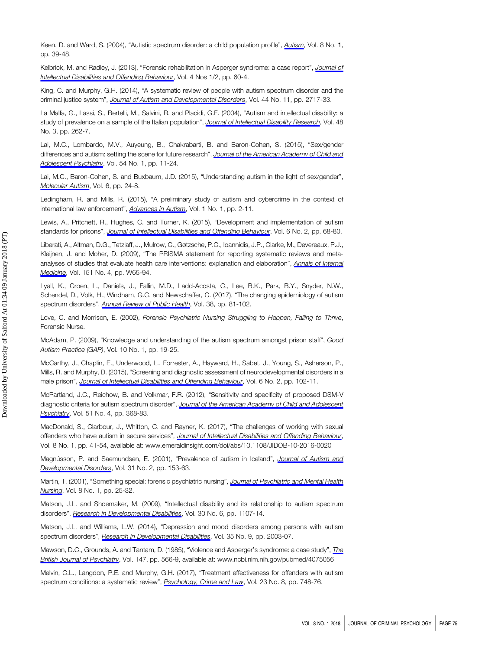Keen, D. and Ward, S. (2004), "Autistic spectrum disorder: a child population profile", [Autism](http://www.emeraldinsight.com/action/showLinks?doi=10.1108%2FJCP-06-2017-0028&crossref=10.1177%2F1362361304040637&isi=000189111600004&citationId=p_63), Vol. 8 No. 1, pp. 39-48.

Kelbrick, M. and Radley, J. (2013), "Forensic rehabilitation in Asperger syndrome: a case report", [Journal of](http://www.emeraldinsight.com/action/showLinks?doi=10.1108%2FJCP-06-2017-0028&system=10.1108%2FJIDOB-03-2013-0007&citationId=p_64) [Intellectual Disabilities and Offending Behaviour](http://www.emeraldinsight.com/action/showLinks?doi=10.1108%2FJCP-06-2017-0028&system=10.1108%2FJIDOB-03-2013-0007&citationId=p_64), Vol. 4 Nos 1/2, pp. 60-4.

King, C. and Murphy, G.H. (2014), "A systematic review of people with autism spectrum disorder and the criminal justice system", [Journal of Autism and Developmental Disorders](http://www.emeraldinsight.com/action/showLinks?doi=10.1108%2FJCP-06-2017-0028&crossref=10.1007%2Fs10803-014-2046-5&isi=000343724000005&citationId=p_65), Vol. 44 No. 11, pp. 2717-33.

La Malfa, G., Lassi, S., Bertelli, M., Salvini, R. and Placidi, G.F. (2004), "Autism and intellectual disability: a study of prevalence on a sample of the Italian population", [Journal of Intellectual Disability Research](http://www.emeraldinsight.com/action/showLinks?doi=10.1108%2FJCP-06-2017-0028&crossref=10.1111%2Fj.1365-2788.2003.00567.x&isi=000220847600007&citationId=p_66), Vol. 48 No. 3, pp. 262-7.

Lai, M.C., Lombardo, M.V., Auyeung, B., Chakrabarti, B. and Baron-Cohen, S. (2015), "Sex/gender differences and autism: setting the scene for future research", [Journal of the American Academy of Child and](http://www.emeraldinsight.com/action/showLinks?doi=10.1108%2FJCP-06-2017-0028&crossref=10.1016%2Fj.jaac.2014.10.003&isi=000346820400004&citationId=p_67) [Adolescent Psychiatry](http://www.emeraldinsight.com/action/showLinks?doi=10.1108%2FJCP-06-2017-0028&crossref=10.1016%2Fj.jaac.2014.10.003&isi=000346820400004&citationId=p_67), Vol. 54 No. 1, pp. 11-24.

Lai, M.C., Baron-Cohen, S. and Buxbaum, J.D. (2015), "Understanding autism in the light of sex/gender", [Molecular Autism](http://www.emeraldinsight.com/action/showLinks?doi=10.1108%2FJCP-06-2017-0028&crossref=10.1186%2Fs13229-015-0021-4&isi=000354350800001&citationId=p_68), Vol. 6, pp. 24-8.

Ledingham, R. and Mills, R. (2015), "A preliminary study of autism and cybercrime in the context of international law enforcement", [Advances in Autism](http://www.emeraldinsight.com/action/showLinks?doi=10.1108%2FJCP-06-2017-0028&system=10.1108%2FAIA-05-2015-0003&isi=000218411900002&citationId=p_69), Vol. 1 No. 1, pp. 2-11.

Lewis, A., Pritchett, R., Hughes, C. and Turner, K. (2015), "Development and implementation of autism standards for prisons", [Journal of Intellectual Disabilities and Offending Behaviour](http://www.emeraldinsight.com/action/showLinks?doi=10.1108%2FJCP-06-2017-0028&system=10.1108%2FJIDOB-05-2015-0013&isi=000218682500003&citationId=p_70), Vol. 6 No. 2, pp. 68-80.

Liberati, A., Altman, D.G., Tetzlaff, J., Mulrow, C., Gøtzsche, P.C., Ioannidis, J.P., Clarke, M., Devereaux, P.J., Kleijnen, J. and Moher, D. (2009), "The PRISMA statement for reporting systematic reviews and meta-analyses of studies that evaluate health care interventions: explanation and elaboration", [Annals of Internal](http://www.emeraldinsight.com/action/showLinks?doi=10.1108%2FJCP-06-2017-0028&crossref=10.7326%2F0003-4819-151-4-200908180-00136&isi=000269038900004&citationId=p_71) [Medicine](http://www.emeraldinsight.com/action/showLinks?doi=10.1108%2FJCP-06-2017-0028&crossref=10.7326%2F0003-4819-151-4-200908180-00136&isi=000269038900004&citationId=p_71), Vol. 151 No. 4, pp. W65-94.

Lyall, K., Croen, L., Daniels, J., Fallin, M.D., Ladd-Acosta, C., Lee, B.K., Park, B.Y., Snyder, N.W., Schendel, D., Volk, H., Windham, G.C. and Newschaffer, C. (2017), "The changing epidemiology of autism spectrum disorders", [Annual Review of Public Health](http://www.emeraldinsight.com/action/showLinks?doi=10.1108%2FJCP-06-2017-0028&crossref=10.1146%2Fannurev-publhealth-031816-044318&isi=000404166400005&citationId=p_72), Vol. 38, pp. 81-102.

Love, C. and Morrison, E. (2002), Forensic Psychiatric Nursing Struggling to Happen, Failing to Thrive, Forensic Nurse.

McAdam, P. (2009), "Knowledge and understanding of the autism spectrum amongst prison staff", Good Autism Practice (GAP), Vol. 10 No. 1, pp. 19-25.

McCarthy, J., Chaplin, E., Underwood, L., Forrester, A., Hayward, H., Sabet, J., Young, S., Asherson, P., Mills, R. and Murphy, D. (2015), "Screening and diagnostic assessment of neurodevelopmental disorders in a male prison", [Journal of Intellectual Disabilities and Offending Behaviour](http://www.emeraldinsight.com/action/showLinks?doi=10.1108%2FJCP-06-2017-0028&system=10.1108%2FJIDOB-08-2015-0018&isi=000218682500006&citationId=p_75), Vol. 6 No. 2, pp. 102-11.

McPartland, J.C., Reichow, B. and Volkmar, F.R. (2012), "Sensitivity and specificity of proposed DSM-V diagnostic criteria for autism spectrum disorder", [Journal of the American Academy of Child and Adolescent](http://www.emeraldinsight.com/action/showLinks?doi=10.1108%2FJCP-06-2017-0028&crossref=10.1016%2Fj.jaac.2012.01.007&isi=000302271800008&citationId=p_76) [Psychiatry](http://www.emeraldinsight.com/action/showLinks?doi=10.1108%2FJCP-06-2017-0028&crossref=10.1016%2Fj.jaac.2012.01.007&isi=000302271800008&citationId=p_76), Vol. 51 No. 4, pp. 368-83.

MacDonald, S., Clarbour, J., Whitton, C. and Rayner, K. (2017), "The challenges of working with sexual offenders who have autism in secure services", [Journal of Intellectual Disabilities and Offending Behaviour](http://www.emeraldinsight.com/action/showLinks?doi=10.1108%2FJCP-06-2017-0028&system=10.1108%2FJIDOB-10-2016-0020&isi=000398664500006&citationId=p_77), Vol. 8 No. 1, pp. 41-54, available at:<www.emeraldinsight.com/doi/abs/10.1108/JIDOB-10-2016-0020>

Magnússon, P. and Saemundsen, E. (2001), "Prevalence of autism in Iceland", [Journal of Autism and](http://www.emeraldinsight.com/action/showLinks?doi=10.1108%2FJCP-06-2017-0028&crossref=10.1023%2FA%3A1010795014548&isi=000169606100006&citationId=p_78) [Developmental Disorders](http://www.emeraldinsight.com/action/showLinks?doi=10.1108%2FJCP-06-2017-0028&crossref=10.1023%2FA%3A1010795014548&isi=000169606100006&citationId=p_78), Vol. 31 No. 2, pp. 153-63.

Martin, T. (2001), "Something special: forensic psychiatric nursing", [Journal of Psychiatric and Mental Health](http://www.emeraldinsight.com/action/showLinks?doi=10.1108%2FJCP-06-2017-0028&crossref=10.1046%2Fj.1365-2850.2001.00349.x&citationId=p_79) [Nursing](http://www.emeraldinsight.com/action/showLinks?doi=10.1108%2FJCP-06-2017-0028&crossref=10.1046%2Fj.1365-2850.2001.00349.x&citationId=p_79), Vol. 8 No. 1, pp. 25-32.

Matson, J.L. and Shoemaker, M. (2009), "Intellectual disability and its relationship to autism spectrum disorders", [Research in Developmental Disabilities](http://www.emeraldinsight.com/action/showLinks?doi=10.1108%2FJCP-06-2017-0028&crossref=10.1016%2Fj.ridd.2009.06.003&isi=000271212100001&citationId=p_80), Vol. 30 No. 6, pp. 1107-14.

Matson, J.L. and Williams, L.W. (2014), "Depression and mood disorders among persons with autism spectrum disorders", [Research in Developmental Disabilities](http://www.emeraldinsight.com/action/showLinks?doi=10.1108%2FJCP-06-2017-0028&crossref=10.1016%2Fj.ridd.2014.04.020&isi=000338179200010&citationId=p_81), Vol. 35 No. 9, pp. 2003-07.

Mawson, D.C., Grounds, A. and Tantam, D. (1985), "Violence and Asperger's syndrome: a case study", *[The](http://www.emeraldinsight.com/action/showLinks?doi=10.1108%2FJCP-06-2017-0028&crossref=10.1192%2Fbjp.147.5.566&isi=A1985AUJ6700018&citationId=p_82)* [British Journal of Psychiatry](http://www.emeraldinsight.com/action/showLinks?doi=10.1108%2FJCP-06-2017-0028&crossref=10.1192%2Fbjp.147.5.566&isi=A1985AUJ6700018&citationId=p_82), Vol. 147, pp. 566-9, available at:<www.ncbi.nlm.nih.gov/pubmed/4075056>

Melvin, C.L., Langdon, P.E. and Murphy, G.H. (2017), "Treatment effectiveness for offenders with autism spectrum conditions: a systematic review", [Psychology, Crime and Law](http://www.emeraldinsight.com/action/showLinks?doi=10.1108%2FJCP-06-2017-0028&crossref=10.1080%2F1068316X.2017.1324027&isi=000407600900003&citationId=p_83), Vol. 23 No. 8, pp. 748-76.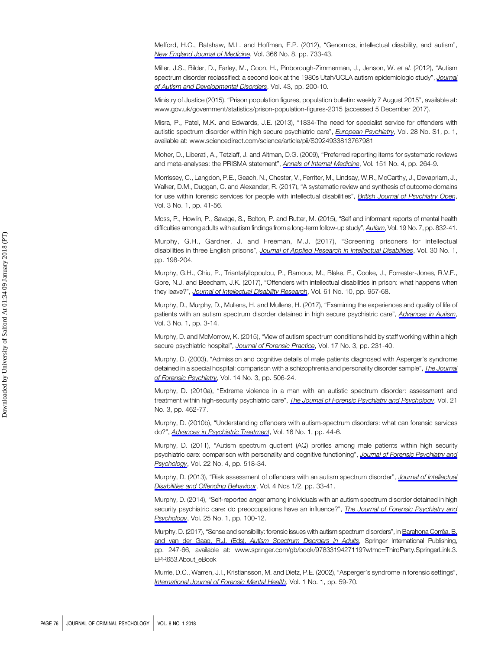Mefford, H.C., Batshaw, M.L. and Hoffman, E.P. (2012), "Genomics, intellectual disability, and autism", [New England Journal of Medicine](http://www.emeraldinsight.com/action/showLinks?doi=10.1108%2FJCP-06-2017-0028&crossref=10.1056%2FNEJMra1114194&isi=000300551500011&citationId=p_84), Vol. 366 No. 8, pp. 733-43.

Miller, J.S., Bilder, D., Farley, M., Coon, H., Pinborough-Zimmerman, J., Jenson, W. et al. (2012), "Autism spectrum disorder reclassified: a second look at the 1980s Utah/UCLA autism epidemiologic study", [Journal](http://www.emeraldinsight.com/action/showLinks?doi=10.1108%2FJCP-06-2017-0028&crossref=10.1007%2Fs10803-012-1566-0&citationId=p_85) [of Autism and Developmental Disorders](http://www.emeraldinsight.com/action/showLinks?doi=10.1108%2FJCP-06-2017-0028&crossref=10.1007%2Fs10803-012-1566-0&citationId=p_85), Vol. 43, pp. 200-10.

Ministry of Justice (2015), "Prison population figures, population bulletin: weekly 7 August 2015", available at: <www.gov.uk/government/statistics/prison-population-figures-2015> (accessed 5 December 2017).

Misra, P., Patel, M.K. and Edwards, J.E. (2013), "1834-The need for specialist service for offenders with autistic spectrum disorder within high secure psychiatric care", *[European Psychiatry](http://www.emeraldinsight.com/action/showLinks?doi=10.1108%2FJCP-06-2017-0028&crossref=10.1016%2FS0924-9338%2813%2976798-1&citationId=p_87)*, Vol. 28 No. S1, p. 1, available at:<www.sciencedirect.com/science/article/pii/S0924933813767981>

Moher, D., Liberati, A., Tetzlaff, J. and Altman, D.G. (2009), "Preferred reporting items for systematic reviews and meta-analyses: the PRISMA statement", [Annals of Internal Medicine](http://www.emeraldinsight.com/action/showLinks?doi=10.1108%2FJCP-06-2017-0028&crossref=10.7326%2F0003-4819-151-4-200908180-00135&isi=000269038900006&citationId=p_88), Vol. 151 No. 4, pp. 264-9.

Morrissey, C., Langdon, P.E., Geach, N., Chester, V., Ferriter, M., Lindsay, W.R., McCarthy, J., Devapriam, J., Walker, D.M., Duggan, C. and Alexander, R. (2017), "A systematic review and synthesis of outcome domains for use within forensic services for people with intellectual disabilities", [British Journal of Psychiatry Open](http://www.emeraldinsight.com/action/showLinks?doi=10.1108%2FJCP-06-2017-0028&crossref=10.1192%2Fbjpo.bp.116.003616&citationId=p_89), Vol. 3 No. 1, pp. 41-56.

Moss, P., Howlin, P., Savage, S., Bolton, P. and Rutter, M. (2015), "Self and informant reports of mental health difficulties among adults with autism findings from a long-term follow-up study", [Autism](http://www.emeraldinsight.com/action/showLinks?doi=10.1108%2FJCP-06-2017-0028&crossref=10.1177%2F1362361315585916&isi=000361769700008&citationId=p_90), Vol. 19 No. 7, pp. 832-41.

Murphy, G.H., Gardner, J. and Freeman, M.J. (2017), "Screening prisoners for intellectual disabilities in three English prisons", [Journal of Applied Research in Intellectual Disabilities](http://www.emeraldinsight.com/action/showLinks?doi=10.1108%2FJCP-06-2017-0028&crossref=10.1111%2Fjar.12224&isi=000389843500015&citationId=p_91), Vol. 30 No. 1, pp. 198-204.

Murphy, G.H., Chiu, P., Triantafyllopoulou, P., Barnoux, M., Blake, E., Cooke, J., Forrester-Jones, R.V.E., Gore, N.J. and Beecham, J.K. (2017), "Offenders with intellectual disabilities in prison: what happens when they leave?", [Journal of Intellectual Disability Research](http://www.emeraldinsight.com/action/showLinks?doi=10.1108%2FJCP-06-2017-0028&crossref=10.1111%2Fjir.12374&isi=000410298600006&citationId=p_92), Vol. 61 No. 10, pp. 957-68.

Murphy, D., Murphy, D., Mullens, H. and Mullens, H. (2017), "Examining the experiences and quality of life of patients with an autism spectrum disorder detained in high secure psychiatric care", [Advances in Autism](http://www.emeraldinsight.com/action/showLinks?doi=10.1108%2FJCP-06-2017-0028&system=10.1108%2FAIA-02-2016-0006&isi=000399057400002&citationId=p_93), Vol. 3 No. 1, pp. 3-14.

Murphy, D. and McMorrow, K. (2015), "View of autism spectrum conditions held by staff working within a high secure psychiatric hospital", [Journal of Forensic Practice](http://www.emeraldinsight.com/action/showLinks?doi=10.1108%2FJCP-06-2017-0028&system=10.1108%2FJFP-01-2015-0005&isi=000218700300006&citationId=p_94), Vol. 17 No. 3, pp. 231-40.

Murphy, D. (2003), "Admission and cognitive details of male patients diagnosed with Asperger's syndrome detained in a special hospital: comparison with a schizophrenia and personality disorder sample", [The Journal](http://www.emeraldinsight.com/action/showLinks?doi=10.1108%2FJCP-06-2017-0028&crossref=10.1080%2F1478994031000152736&citationId=p_95) [of Forensic Psychiatry](http://www.emeraldinsight.com/action/showLinks?doi=10.1108%2FJCP-06-2017-0028&crossref=10.1080%2F1478994031000152736&citationId=p_95), Vol. 14 No. 3, pp. 506-24.

Murphy, D. (2010a), "Extreme violence in a man with an autistic spectrum disorder: assessment and treatment within high-security psychiatric care", *[The Journal of Forensic Psychiatry and Psychology](http://www.emeraldinsight.com/action/showLinks?doi=10.1108%2FJCP-06-2017-0028&crossref=10.1080%2F14789940903426885&isi=000278714500010&citationId=p_96)*, Vol. 21 No. 3, pp. 462-77.

Murphy, D. (2010b), "Understanding offenders with autism-spectrum disorders: what can forensic services do?", [Advances in Psychiatric Treatment](http://www.emeraldinsight.com/action/showLinks?doi=10.1108%2FJCP-06-2017-0028&crossref=10.1192%2Fapt.bp.109.006775&citationId=p_97), Vol. 16 No. 1, pp. 44-6.

Murphy, D. (2011), "Autism spectrum quotient (AQ) profiles among male patients within high security psychiatric care: comparison with personality and cognitive functioning", [Journal of Forensic Psychiatry and](http://www.emeraldinsight.com/action/showLinks?doi=10.1108%2FJCP-06-2017-0028&crossref=10.1080%2F14789949.2011.596942&isi=000299837800004&citationId=p_98) [Psychology](http://www.emeraldinsight.com/action/showLinks?doi=10.1108%2FJCP-06-2017-0028&crossref=10.1080%2F14789949.2011.596942&isi=000299837800004&citationId=p_98), Vol. 22 No. 4, pp. 518-34.

Murphy, D. (2013), "Risk assessment of offenders with an autism spectrum disorder", [Journal of Intellectual](http://www.emeraldinsight.com/action/showLinks?doi=10.1108%2FJCP-06-2017-0028&system=10.1108%2FJIDOB-02-2013-0004&citationId=p_99) [Disabilities and Offending Behaviour](http://www.emeraldinsight.com/action/showLinks?doi=10.1108%2FJCP-06-2017-0028&system=10.1108%2FJIDOB-02-2013-0004&citationId=p_99), Vol. 4 Nos 1/2, pp. 33-41.

Murphy, D. (2014), "Self-reported anger among individuals with an autism spectrum disorder detained in high security psychiatric care: do preoccupations have an influence?", [The Journal of Forensic Psychiatry and](http://www.emeraldinsight.com/action/showLinks?doi=10.1108%2FJCP-06-2017-0028&crossref=10.1080%2F14789949.2013.862291&isi=000330690600006&citationId=p_100) [Psychology](http://www.emeraldinsight.com/action/showLinks?doi=10.1108%2FJCP-06-2017-0028&crossref=10.1080%2F14789949.2013.862291&isi=000330690600006&citationId=p_100), Vol. 25 No. 1, pp. 100-12.

Murphy, D. (2017), "Sense and sensibility: forensic issues with autism spectrum disorders", in [Barahona Corrêa, B.](http://www.emeraldinsight.com/action/showLinks?doi=10.1108%2FJCP-06-2017-0028&crossref=10.1007%2F978-3-319-42713-3_11&citationId=p_101) and van der Gaag, R.J. (Eds), [Autism Spectrum Disorders in Adults](http://www.emeraldinsight.com/action/showLinks?doi=10.1108%2FJCP-06-2017-0028&crossref=10.1007%2F978-3-319-42713-3_11&citationId=p_101), Springer International Publishing, pp. 247-66, available at: [www.springer.com/gb/book/9783319427119?wtmc](www.springer.com/gb/book/9783319427119?wtmc=ThirdParty.SpringerLink.3.EPR653.About_eBook)=ThirdParty.SpringerLink.3. [EPR653.About\\_eBook](www.springer.com/gb/book/9783319427119?wtmc=ThirdParty.SpringerLink.3.EPR653.About_eBook)

Murrie, D.C., Warren, J.I., Kristiansson, M. and Dietz, P.E. (2002), "Asperger's syndrome in forensic settings", [International Journal of Forensic Mental Health](http://www.emeraldinsight.com/action/showLinks?doi=10.1108%2FJCP-06-2017-0028&crossref=10.1080%2F14999013.2002.10471161&citationId=p_102), Vol. 1 No. 1, pp. 59-70.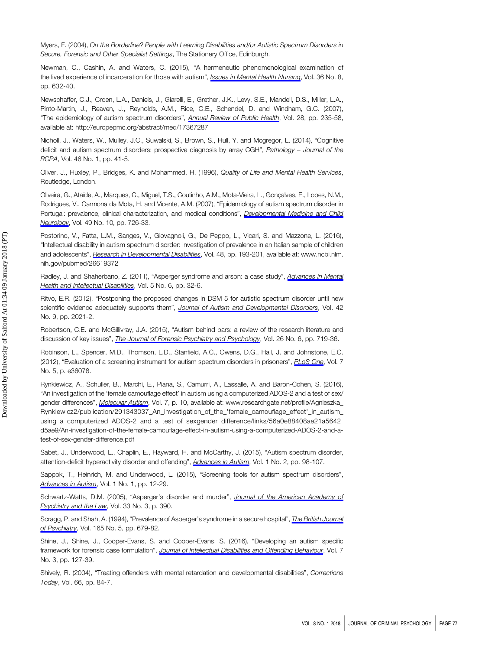Myers, F. (2004), On the Borderline? People with Learning Disabilities and/or Autistic Spectrum Disorders in Secure, Forensic and Other Specialist Settings, The Stationery Office, Edinburgh.

Newman, C., Cashin, A. and Waters, C. (2015), "A hermeneutic phenomenological examination of the lived experience of incarceration for those with autism", *[Issues in Mental Health Nursing](http://www.emeraldinsight.com/action/showLinks?doi=10.1108%2FJCP-06-2017-0028&crossref=10.3109%2F01612840.2015.1014587&isi=000361336900008&citationId=p_104)*, Vol. 36 No. 8, pp. 632-40.

Newschaffer, C.J., Croen, L.A., Daniels, J., Giarelli, E., Grether, J.K., Levy, S.E., Mandell, D.S., Miller, L.A., Pinto-Martin, J., Reaven, J., Reynolds, A.M., Rice, C.E., Schendel, D. and Windham, G.C. (2007), "The epidemiology of autism spectrum disorders", [Annual Review of Public Health](http://www.emeraldinsight.com/action/showLinks?doi=10.1108%2FJCP-06-2017-0028&crossref=10.1146%2Fannurev.publhealth.28.021406.144007&isi=000246436700015&citationId=p_105), Vol. 28, pp. 235-58, available at:<http://europepmc.org/abstract/med/17367287>

Nicholl, J., Waters, W., Mulley, J.C., Suwalski, S., Brown, S., Hull, Y. and Mcgregor, L. (2014), "Cognitive deficit and autism spectrum disorders: prospective diagnosis by array CGH", Pathology – Journal of the RCPA, Vol. 46 No. 1, pp. 41-5.

Oliver, J., Huxley, P., Bridges, K. and Mohammed, H. (1996), Quality of Life and Mental Health Services, Routledge, London.

Oliveira, G., Ataíde, A., Marques, C., Miguel, T.S., Coutinho, A.M., Mota-Vieira, L., Gonçalves, E., Lopes, N.M., Rodrigues, V., Carmona da Mota, H. and Vicente, A.M. (2007), "Epidemiology of autism spectrum disorder in Portugal: prevalence, clinical characterization, and medical conditions", [Developmental Medicine and Child](http://www.emeraldinsight.com/action/showLinks?doi=10.1108%2FJCP-06-2017-0028&crossref=10.1111%2Fj.1469-8749.2007.00726.x&isi=000249660400004&citationId=p_108) [Neurology](http://www.emeraldinsight.com/action/showLinks?doi=10.1108%2FJCP-06-2017-0028&crossref=10.1111%2Fj.1469-8749.2007.00726.x&isi=000249660400004&citationId=p_108), Vol. 49 No. 10, pp. 726-33.

Postorino, V., Fatta, L.M., Sanges, V., Giovagnoli, G., De Peppo, L., Vicari, S. and Mazzone, L. (2016), "Intellectual disability in autism spectrum disorder: investigation of prevalence in an Italian sample of children and adolescents", [Research in Developmental Disabilities](http://www.emeraldinsight.com/action/showLinks?doi=10.1108%2FJCP-06-2017-0028&crossref=10.1016%2Fj.ridd.2015.10.020&isi=000367766100018&citationId=p_109), Vol. 48, pp. 193-201, available at: [www.ncbi.nlm.](www.ncbi.nlm.nih.gov/pubmed/26619372) [nih.gov/pubmed/26619372](www.ncbi.nlm.nih.gov/pubmed/26619372)

Radley, J. and Shaherbano, Z. (2011), "Asperger syndrome and arson: a case study", [Advances in Mental](http://www.emeraldinsight.com/action/showLinks?doi=10.1108%2FJCP-06-2017-0028&system=10.1108%2F20441281111187171&citationId=p_110) [Health and Intellectual Disabilities](http://www.emeraldinsight.com/action/showLinks?doi=10.1108%2FJCP-06-2017-0028&system=10.1108%2F20441281111187171&citationId=p_110), Vol. 5 No. 6, pp. 32-6.

Ritvo, E.R. (2012), "Postponing the proposed changes in DSM 5 for autistic spectrum disorder until new scientific evidence adequately supports them", [Journal of Autism and Developmental Disorders](http://www.emeraldinsight.com/action/showLinks?doi=10.1108%2FJCP-06-2017-0028&crossref=10.1007%2Fs10803-012-1613-x&isi=000307815100027&citationId=p_111), Vol. 42 No. 9, pp. 2021-2.

Robertson, C.E. and McGillivray, J.A. (2015), "Autism behind bars: a review of the research literature and discussion of key issues", *[The Journal of Forensic Psychiatry and Psychology](http://www.emeraldinsight.com/action/showLinks?doi=10.1108%2FJCP-06-2017-0028&crossref=10.1080%2F14789949.2015.1062994&isi=000363671400001&citationId=p_112)*, Vol. 26 No. 6, pp. 719-36.

Robinson, L., Spencer, M.D., Thomson, L.D., Stanfield, A.C., Owens, D.G., Hall, J. and Johnstone, E.C. (2012), "Evaluation of a screening instrument for autism spectrum disorders in prisoners", [PLoS One](http://www.emeraldinsight.com/action/showLinks?doi=10.1108%2FJCP-06-2017-0028&crossref=10.1371%2Fjournal.pone.0036078&isi=000305342300007&citationId=p_113), Vol. 7 No. 5, p. e36078.

Rynkiewicz, A., Schuller, B., Marchi, E., Piana, S., Camurri, A., Lassalle, A. and Baron-Cohen, S. (2016), "An investigation of the 'female camouflage effect' in autism using a computerized ADOS-2 and a test of sex/ gender differences", [Molecular Autism](http://www.emeraldinsight.com/action/showLinks?doi=10.1108%2FJCP-06-2017-0028&crossref=10.1186%2Fs13229-016-0073-0&citationId=p_114), Vol. 7, p. 10, available at: [www.researchgate.net/profile/Agnieszka\\_](www.researchgate.net/profile/Agnieszka_Rynkiewicz2/publication/291343037_An_investigation_of_the_) [Rynkiewicz2/publication/291343037\\_An\\_investigation\\_of\\_the\\_'female\\_camouflage\\_effect'\\_in\\_autism\\_](www.researchgate.net/profile/Agnieszka_Rynkiewicz2/publication/291343037_An_investigation_of_the_) [using\\_a\\_computerized\\_ADOS-2\\_and\\_a\\_test\\_of\\_sexgender\\_difference/links/56a0e88408ae21a5642](www.researchgate.net/profile/Agnieszka_Rynkiewicz2/publication/291343037_An_investigation_of_the_) [d5ae9/An-investigation-of-the-female-camouflage-effect-in-autism-using-a-computerized-ADOS-2-and-a](www.researchgate.net/profile/Agnieszka_Rynkiewicz2/publication/291343037_An_investigation_of_the_)[test-of-sex-gender-difference.pdf](www.researchgate.net/profile/Agnieszka_Rynkiewicz2/publication/291343037_An_investigation_of_the_)

Sabet, J., Underwood, L., Chaplin, E., Hayward, H. and McCarthy, J. (2015), "Autism spectrum disorder, attention-deficit hyperactivity disorder and offending", [Advances in Autism](http://www.emeraldinsight.com/action/showLinks?doi=10.1108%2FJCP-06-2017-0028&system=10.1108%2FAIA-08-2015-0013&isi=000218414500007&citationId=p_115), Vol. 1 No. 2, pp. 98-107.

Sappok, T., Heinrich, M. and Underwood, L. (2015), "Screening tools for autism spectrum disorders", [Advances in Autism](http://www.emeraldinsight.com/action/showLinks?doi=10.1108%2FJCP-06-2017-0028&system=10.1108%2FAIA-03-2015-0001&isi=000218411900003&citationId=p_116), Vol. 1 No. 1, pp. 12-29.

Schwartz-Watts, D.M. (2005), "Asperger's disorder and murder", [Journal of the American Academy of](http://www.emeraldinsight.com/action/showLinks?doi=10.1108%2FJCP-06-2017-0028&isi=000232237500018&citationId=p_117) [Psychiatry and the Law](http://www.emeraldinsight.com/action/showLinks?doi=10.1108%2FJCP-06-2017-0028&isi=000232237500018&citationId=p_117), Vol. 33 No. 3, p. 390.

Scragg, P. and Shah, A. (1994), "Prevalence of Asperger's syndrome in a secure hospital", *[The British Journal](http://www.emeraldinsight.com/action/showLinks?doi=10.1108%2FJCP-06-2017-0028&crossref=10.1192%2Fbjp.165.5.679&isi=A1994PR24700018&citationId=p_118)* [of Psychiatry](http://www.emeraldinsight.com/action/showLinks?doi=10.1108%2FJCP-06-2017-0028&crossref=10.1192%2Fbjp.165.5.679&isi=A1994PR24700018&citationId=p_118), Vol. 165 No. 5, pp. 679-82.

Shine, J., Shine, J., Cooper-Evans, S. and Cooper-Evans, S. (2016), "Developing an autism specific framework for forensic case formulation", [Journal of Intellectual Disabilities and Offending Behaviour](http://www.emeraldinsight.com/action/showLinks?doi=10.1108%2FJCP-06-2017-0028&system=10.1108%2FJIDOB-04-2015-0006&isi=000398663800004&citationId=p_119), Vol. 7 No. 3, pp. 127-39.

Shively, R. (2004), "Treating offenders with mental retardation and developmental disabilities", Corrections Today, Vol. 66, pp. 84-7.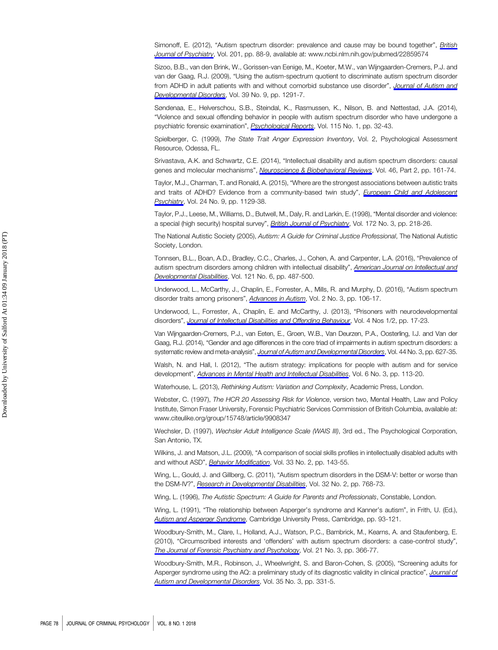Simonoff, E. (2012), "Autism spectrum disorder: prevalence and cause may be bound together", [British](http://www.emeraldinsight.com/action/showLinks?doi=10.1108%2FJCP-06-2017-0028&crossref=10.1192%2Fbjp.bp.111.104703&isi=000307423800002&citationId=p_121) [Journal of Psychiatry](http://www.emeraldinsight.com/action/showLinks?doi=10.1108%2FJCP-06-2017-0028&crossref=10.1192%2Fbjp.bp.111.104703&isi=000307423800002&citationId=p_121), Vol. 201, pp. 88-9, available at:<www.ncbi.nlm.nih.gov/pubmed/22859574>

Sizoo, B.B., van den Brink, W., Gorissen-van Eenige, M., Koeter, M.W., van Wijngaarden-Cremers, P.J. and van der Gaag, R.J. (2009), "Using the autism-spectrum quotient to discriminate autism spectrum disorder from ADHD in adult patients with and without comorbid substance use disorder", [Journal of Autism and](http://www.emeraldinsight.com/action/showLinks?doi=10.1108%2FJCP-06-2017-0028&crossref=10.1007%2Fs10803-009-0743-2&isi=000269012200007&citationId=p_122) [Developmental Disorders](http://www.emeraldinsight.com/action/showLinks?doi=10.1108%2FJCP-06-2017-0028&crossref=10.1007%2Fs10803-009-0743-2&isi=000269012200007&citationId=p_122), Vol. 39 No. 9, pp. 1291-7.

Søndenaa, E., Helverschou, S.B., Steindal, K., Rasmussen, K., Nilson, B. and Nøttestad, J.A. (2014), "Violence and sexual offending behavior in people with autism spectrum disorder who have undergone a psychiatric forensic examination", *[Psychological Reports](http://www.emeraldinsight.com/action/showLinks?doi=10.1108%2FJCP-06-2017-0028&crossref=10.2466%2F16.15.PR0.115c16z5&isi=000341522100005&citationId=p_123)*, Vol. 115 No. 1, pp. 32-43.

Spielberger, C. (1999), The State Trait Anger Expression Inventory, Vol. 2, Psychological Assessment Resource, Odessa, FL.

Srivastava, A.K. and Schwartz, C.E. (2014), "Intellectual disability and autism spectrum disorders: causal genes and molecular mechanisms", [Neuroscience & Biobehavioral Reviews](http://www.emeraldinsight.com/action/showLinks?doi=10.1108%2FJCP-06-2017-0028&crossref=10.1016%2Fj.neubiorev.2014.02.015&isi=000348012600002&citationId=p_125), Vol. 46, Part 2, pp. 161-74.

Taylor, M.J., Charman, T. and Ronald, A. (2015), "Where are the strongest associations between autistic traits and traits of ADHD? Evidence from a community-based twin study", [European Child and Adolescent](http://www.emeraldinsight.com/action/showLinks?doi=10.1108%2FJCP-06-2017-0028&crossref=10.1007%2Fs00787-014-0666-0&isi=000360543600011&citationId=p_126) [Psychiatry](http://www.emeraldinsight.com/action/showLinks?doi=10.1108%2FJCP-06-2017-0028&crossref=10.1007%2Fs00787-014-0666-0&isi=000360543600011&citationId=p_126), Vol. 24 No. 9, pp. 1129-38.

Taylor, P.J., Leese, M., Williams, D., Butwell, M., Daly, R. and Larkin, E. (1998), "Mental disorder and violence: a special (high security) hospital survey", [British Journal of Psychiatry](http://www.emeraldinsight.com/action/showLinks?doi=10.1108%2FJCP-06-2017-0028&crossref=10.1192%2Fbjp.172.3.218&citationId=p_127), Vol. 172 No. 3, pp. 218-26.

The National Autistic Society (2005), Autism: A Guide for Criminal Justice Professional, The National Autistic Society, London.

Tonnsen, B.L., Boan, A.D., Bradley, C.C., Charles, J., Cohen, A. and Carpenter, L.A. (2016), "Prevalence of autism spectrum disorders among children with intellectual disability", [American Journal on Intellectual and](http://www.emeraldinsight.com/action/showLinks?doi=10.1108%2FJCP-06-2017-0028&crossref=10.1352%2F1944-7558-121.6.487&citationId=p_129) [Developmental Disabilities](http://www.emeraldinsight.com/action/showLinks?doi=10.1108%2FJCP-06-2017-0028&crossref=10.1352%2F1944-7558-121.6.487&citationId=p_129), Vol. 121 No. 6, pp. 487-500.

Underwood, L., McCarthy, J., Chaplin, E., Forrester, A., Mills, R. and Murphy, D. (2016), "Autism spectrum disorder traits among prisoners", **[Advances in Autism](http://www.emeraldinsight.com/action/showLinks?doi=10.1108%2FJCP-06-2017-0028&system=10.1108%2FAIA-11-2015-0023&isi=000399059200002&citationId=p_130)**, Vol. 2 No. 3, pp. 106-17.

Underwood, L., Forrester, A., Chaplin, E. and McCarthy, J. (2013), "Prisoners with neurodevelopmental disorders", [Journal of Intellectual Disabilities and Offending Behaviour](http://www.emeraldinsight.com/action/showLinks?doi=10.1108%2FJCP-06-2017-0028&system=10.1108%2FJIDOB-05-2013-0011&citationId=p_131), Vol. 4 Nos 1/2, pp. 17-23.

Van Wijngaarden-Cremers, P.J., van Eeten, E., Groen, W.B., Van Deurzen, P.A., Oosterling, I.J. and Van der Gaag, R.J. (2014), "Gender and age differences in the core triad of impairments in autism spectrum disorders: a systematic review and meta-analysis", [Journal of Autism and Developmental Disorders](http://www.emeraldinsight.com/action/showLinks?doi=10.1108%2FJCP-06-2017-0028&crossref=10.1007%2Fs10803-013-1913-9&isi=000330965100013&citationId=p_132), Vol. 44 No. 3, pp. 627-35.

Walsh, N. and Hall, I. (2012), "The autism strategy: implications for people with autism and for service development", [Advances in Mental Health and Intellectual Disabilities](http://www.emeraldinsight.com/action/showLinks?doi=10.1108%2FJCP-06-2017-0028&system=10.1108%2F20441281211227166&citationId=p_133), Vol. 6 No. 3, pp. 113-20.

Waterhouse, L. (2013), Rethinking Autism: Variation and Complexity, Academic Press, London.

Webster, C. (1997), The HCR 20 Assessing Risk for Violence, version two, Mental Health, Law and Policy Institute, Simon Fraser University, Forensic Psychiatric Services Commission of British Columbia, available at: <www.citeulike.org/group/15748/article/9908347>

Wechsler, D. (1997), Wechsler Adult Intelligence Scale (WAIS III), 3rd ed., The Psychological Corporation, San Antonio, TX.

Wilkins, J. and Matson, J.L. (2009), "A comparison of social skills profiles in intellectually disabled adults with and without ASD", [Behavior Modification](http://www.emeraldinsight.com/action/showLinks?doi=10.1108%2FJCP-06-2017-0028&crossref=10.1177%2F0145445508321880&isi=000262955400001&citationId=p_137), Vol. 33 No. 2, pp. 143-55.

Wing, L., Gould, J. and Gillberg, C. (2011), "Autism spectrum disorders in the DSM-V: better or worse than the DSM-IV?", [Research in Developmental Disabilities](http://www.emeraldinsight.com/action/showLinks?doi=10.1108%2FJCP-06-2017-0028&crossref=10.1016%2Fj.ridd.2010.11.003&isi=000287678900047&citationId=p_138), Vol. 32 No. 2, pp. 768-73.

Wing, L. (1996), The Autistic Spectrum: A Guide for Parents and Professionals, Constable, London.

Wing, L. (1991), "The relationship between Asperger's syndrome and Kanner's autism", in Frith, U. (Ed.), [Autism and Asperger Syndrome](http://www.emeraldinsight.com/action/showLinks?doi=10.1108%2FJCP-06-2017-0028&crossref=10.1017%2FCBO9780511526770.003&citationId=p_140), Cambridge University Press, Cambridge, pp. 93-121.

Woodbury-Smith, M., Clare, I., Holland, A.J., Watson, P.C., Bambrick, M., Kearns, A. and Staufenberg, E. (2010), "Circumscribed interests and 'offenders' with autism spectrum disorders: a case-control study", [The Journal of Forensic Psychiatry and Psychology](http://www.emeraldinsight.com/action/showLinks?doi=10.1108%2FJCP-06-2017-0028&crossref=10.1080%2F14789940903426877&isi=000278714500004&citationId=p_141), Vol. 21 No. 3, pp. 366-77.

Woodbury-Smith, M.R., Robinson, J., Wheelwright, S. and Baron-Cohen, S. (2005), "Screening adults for Asperger syndrome using the AQ: a preliminary study of its diagnostic validity in clinical practice", [Journal of](http://www.emeraldinsight.com/action/showLinks?doi=10.1108%2FJCP-06-2017-0028&crossref=10.1007%2Fs10803-005-3300-7&isi=000230559200008&citationId=p_142) [Autism and Developmental Disorders](http://www.emeraldinsight.com/action/showLinks?doi=10.1108%2FJCP-06-2017-0028&crossref=10.1007%2Fs10803-005-3300-7&isi=000230559200008&citationId=p_142), Vol. 35 No. 3, pp. 331-5.